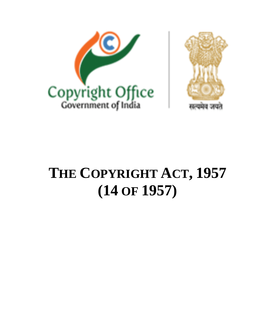



# **THE COPYRIGHT ACT, 1957 (14 OF 1957)**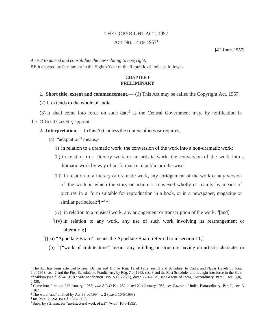# THE COPYRIGHT ACT, 1957

# ACT NO. 14 OF  $1957<sup>1</sup>$

**[***4 th June,* **1957]**

*An Act to amend and consolidate the law relating to copyright.* BE it enacted by Parliament in the Eighth Year of the Republic of India as follows:-

## CHAPTER I **PRELIMINARY**

# **1. Short title, extent and commencement.**— (*1*) This Act may be called the Copyright Act, 1957.

(2) It extends to the whole of India.

(3) It shall come into force on such date<sup>2</sup> as the Central Government may, by notification in the Official Gazette, appoint.

- **2. Interpretation.** In this Act, unless the context otherwise requires,—
	- (a) "adaptation" means,-
		- (i) in relation to a dramatic work, the conversion of the work into a non-dramatic work;
		- (ii) in relation to a literary work or an artistic work, the conversion of the work into a dramatic work by way of performance in public or otherwise;
		- (iii) in relation to a literary or dramatic work, any abridgement of the work or any version of the work in which the story or action is conveyed wholly or mainly by means of pictures in a form suitable for reproduction in a book, or in a newspaper, magazine or similar periodical;<sup>3</sup>[\*\*\*]
		- (iv) in relation to a musical work, any arrangement or transcription of the work;  $\textsuperscript{4}[$  and]
		- ${}^{4}$ [(v) in relation to any work, any use of such work involving its rearrangement or alteration;]
	- $<sup>5</sup>$ [(aa) "Appellate Board" means the Appellate Board referred to in section 11;]</sup>
		- (b) <sup>5</sup>["work of architecture"] means any building or structure having an artistic character or

 $\overline{a}$ 

<sup>&</sup>lt;sup>1</sup> The Act has been extended to Goa, Daman and Diu by Reg. 12 of 1962, sec. 3 and Schedule; to Dadra and Nagar Haveli by Reg. 6 of 1963, sec. 2 and the First Schedule; to Pondicherry by Reg. 7 of 1963, sec. 3 and the First Schedule; and brought into force in the State of Sikkim (w.e.f. 27-4-1979) : *vide* notification No. S.O. 226(E), dated 27-4-1979, *see* Gazette of India, Extraordinary, Part II, sec. 3(*ii*), p.430.

<sup>2</sup> Came into force on 21st January, 1958, *vide* S.R.O No. 269, dated 21st January 1958, *see* Gazette of India, Extraordinary, Part II, sec. 3, p.167.

 $3$  The word "and" omitted by Act 38 of 1994, s. 2 (w.e.f. 10-5-1995).

<sup>4</sup> Ins. by s. 2, *ibid*. (w.e.f. 10-5-1995).

<sup>5</sup> Subs. by s.2, *ibid*. for "architectural work of art" (w.e.f. 10-5-1995).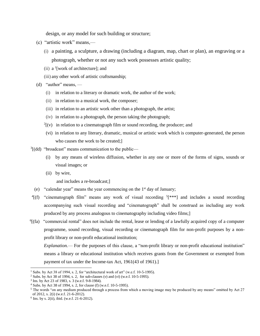design, or any model for such building or structure;

- (c) "artistic work" means,—
	- (i) a painting, a sculpture, a drawing (including a diagram, map, chart or plan), an engraving or a photograph, whether or not any such work possesses artistic quality;
	- (ii)  $a<sup>1</sup>[work of architecture]$ ; and
	- (iii) any other work of artistic craftsmanship;

# (d) "author" means,  $-$

- (i) in relation to a literary or dramatic work, the author of the work;
- (ii) in relation to a musical work, the composer;
- (iii) in relation to an artistic work other than a photograph, the artist;
- (iv) in relation to a photograph, the person taking the photograph;
- $2\mu$  in relation to a cinematograph film or sound recording, the producer; and
- (vi) in relation to any literary, dramatic, musical or artistic work which is computer-generated, the person who causes the work to be created:

 $3$ [(dd) "broadcast" means communication to the public—

- (i) by any means of wireless diffusion, whether in any one or more of the forms of signs, sounds or visual images; or
- (ii) by wire,

and includes a re-broadcast;]

- (e) "calendar year" means the year commencing on the  $1<sup>st</sup>$  day of January;
- $^{4}$ [(f) "cinematograph film" means any work of visual recording  $^{5}$ [\*\*\*] and includes a sound recording accompanying such visual recording and "cinematograph" shall be construed as including any work produced by any process analogous to cinematography including video films;]
- <sup>6</sup>[(fa) "commercial rental" does not include the rental, lease or lending of a lawfully acquired copy of a computer programme, sound recording, visual recording or cinematograph film for non-profit purposes by a nonprofit library or non-profit educational institution;

*Explanation.*— For the purposes of this clause, a "non-profit library or non-profit educational institution" means a library or educational institution which receives grants from the Government or exempted from payment of tax under the Income-tax Act, 1961(43 of 1961).]

<sup>&</sup>lt;sup>1</sup> Subs. by Act 38 of 1994, s. 2, for "architectural work of art" (w.e.f. 10-5-1995).

<sup>2</sup> Subs. by Act 38 of 1994, s. 2, for sub-clauses (*v*) and (*vi*) (w.e.f. 10-5-1995).

<sup>3</sup> Ins. by Act 23 of 1983, s. 3 (w.e.f. 9-8-1984).

<sup>4</sup> Subs. by Act 38 of 1994, s. 2, for clause (f) (w.e.f. 10-5-1995).

<sup>5</sup> The words "on any medium produced through a process from which a moving image may be produced by any means" omitted by Act 27 of 2012, s. 2(i) (w.e.f. 21-6-2012).

<sup>6</sup> Ins. by s. 2(ii), ibid. (w.e.f. 21-6-2012).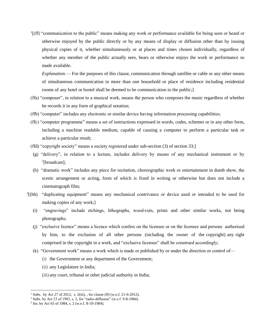<sup>1</sup>[(ff) "communication to the public" means making any work or performance available for being seen or heard or otherwise enjoyed by the public directly or by any means of display or diffusion other than by issuing physical copies of it, whether simultaneously or at places and times chosen individually, regardless of whether any member of the public actually sees, hears or otherwise enjoys the work or performance so made available.

*Explanation*.— For the purposes of this clause, communication through satellite or cable or any other means of simultaneous communication to more than one household or place of residence including residential rooms of any hotel or hostel shall be deemed to be communication to the public;

- (ffa) "composer", in relation to a musical work, means the person who composes the music regardless of whether he records it in any form of graphical notation;
- (ffb) "computer" includes any electronic or similar device having information processing capabilities;
- (ffc) "computer programme" means a set of instructions expressed in words, codes, schemes or in any other form, including a machine readable medium, capable of causing a computer to perform a particular task or achieve a particular result;
- (ffd) "copyright society" means a society registered under sub-section (3) of section 33;]
- (g) "delivery", in relation to a lecture, includes delivery by means of any mechanical instrument or by 2 [broadcast];
- (h) "dramatic work" includes any piece for recitation, choreographic work or entertainment in dumb show, the scenic arrangement or acting, form of which is fixed in writing or otherwise but does not include a cinematograph film;
- $3$ [(hh) "duplicating equipment" means any mechanical contrivance or device used or intended to be used for making copies of any work;]
	- (i) "engravings" include etchings, lithographs, wood-cuts, prints and other similar works, not being photographs;
	- (j) "exclusive licence" means a licence which confers on the licensee or on the licensee and persons authorised by him, to the exclusion of all other persons (including the owner of the copyright) any right comprised in the copyright in a work, and "exclusive licensee" shall be construed accordingly;
	- (k) "Government work" means a work which is made or published by or under the direction or control of—
		- (i) the Government or any department of the Government;
		- (ii) any Legislature in India;
		- (iii) any court, tribunal or other judicial authority in India;

<sup>&</sup>lt;sup>1</sup> Subs. by Act 27 of 2012, s. 2(iii), , for clause (ff) (w.e.f. 21-6-2012).

<sup>2</sup> Subs. by Act 23 of 1983, s. 2, for "radio-diffusion" (w.e.f. 9-8-1984).

<sup>3</sup> Ins. by Act 65 of 1984, s. 2 (w.e.f. 8-10-1984).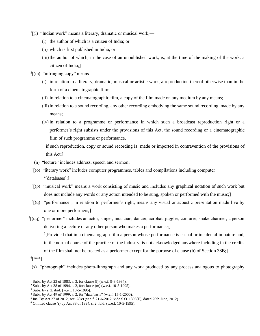- $\frac{1}{1}$ [(l) "Indian work" means a literary, dramatic or musical work,—
	- (i) the author of which is a citizen of India; or
	- (ii) which is first published in India; or
	- (iii) the author of which, in the case of an unpublished work, is, at the time of the making of the work, a citizen of India;]
- $2$ [(m) "infringing copy" means—
	- (i) in relation to a literary, dramatic, musical or artistic work, a reproduction thereof otherwise than in the form of a cinematographic film;
	- (ii) in relation to a cinematographic film, a copy of the film made on any medium by any means;
	- (iii) in relation to a sound recording, any other recording embodying the same sound recording, made by any means;
	- (iv) in relation to a programme or performance in which such a broadcast reproduction right or a performer's right subsists under the provisions of this Act, the sound recording or a cinematographic film of such programme or performance,

if such reproduction, copy or sound recording is made or imported in contravention of the provisions of this Act;]

- (n) "lecture" includes address, speech and sermon;
- $3$ [(o) "literary work" includes computer programmes, tables and compilations including computer 4 [databases];]
- $3[$ (p) "musical work" means a work consisting of music and includes any graphical notation of such work but does not include any words or any action intended to be sung, spoken or performed with the music;]
- ${}^{3}$ [(q) "performance", in relation to performer's right, means any visual or acoustic presentation made live by one or more performers;]
- ${}^{3}$ [(qq) "performer" includes an actor, singer, musician, dancer, acrobat, juggler, conjurer, snake charmer, a person delivering a lecture or any other person who makes a performance;]

<sup>5</sup>[Provided that in a cinematograph film a person whose performance is casual or incidental in nature and, in the normal course of the practice of the industry, is not acknowledged anywhere including in the credits of the film shall not be treated as a performer except for the purpose of clause (b) of Section 38B;]

6 [\*\*\*]

l

(s) "photograph" includes photo-lithograph and any work produced by any process analogous to photography

<sup>1</sup> Subs. by Act 23 of 1983, s. 3, for clause (l) (w.e.f. 9-8-1984).

<sup>2</sup> Subs. by Act 38 of 1994, s. 2, for clause (m) (w.e.f. 10-5-1995).

<sup>3</sup> Subs. by s. 2, ibid. (w.e.f. 10-5-1995).

<sup>4</sup> Subs. by Act 49 of 1999, s. 2, for "data basis" (w.e.f. 15-1-2000).

<sup>&</sup>lt;sup>5</sup> Ins. By Act 27 of 2012, sec. 2(iv) (w.e.f. 21-6-2012, vide S.O. 1393(E), dated 20th June, 2012)

<sup>6</sup> Omitted clause (r) by Act 38 of 1994, s. 2, ibid. (w.e.f. 10-5-1995).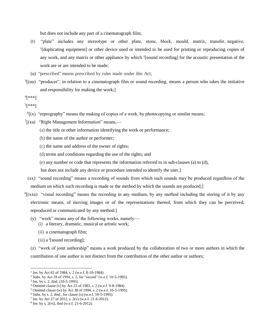but does not include any part of a cinematograph film;

- (t) "plate" includes any stereotype or other plate, stone, block, mould, matrix, transfer, negative, <sup>1</sup>[duplicating equipment] or other device used or intended to be used for printing or reproducing copies of any work, and any matrix or other appliance by which <sup>2</sup>[sound recording] for the acoustic presentation of the work are or are intended to be made;
- (u) "prescribed"means prescribed by rules made under this Act;
- $3$ [(uu) "producer", in relation to a cinematograph film or sound recording, means a person who takes the initiative and responsibility for making the work;]

4 [\*\*\*]

5 [\*\*\*]

- ${}^6$ [(x) "reprography" means the making of copies of a work, by photocopying or similar means;
- $\frac{7}{x}$  (xa) "Right Management Information" means,—
	- (a) the title or other information identifying the work or performance;
	- (b) the name of the author or performer;
	- (c) the name and address of the owner of rights;
	- (d) terms and conditions regarding the use of the rights; and
	- (e) any number or code that represents the information referred to in sub-clauses (a) to (d),
	- but does not include any device or procedure intended to identify the user.]
- (xx) "sound recording" means a recording of sounds from which such sounds may be produced regardless of the medium on which such recording is made or the method by which the sounds are produced;
- ${}^8$ [(xxa) "visual recording" means the recording in any medium, by any method including the storing of it by any electronic means, of moving images or of the representations thereof, from which they can be perceived, reproduced or communicated by any method.]
	- (y) "work" means any of the following works, namely:—
		- (i) a literary, dramatic, musical or artistic work;
		- (ii) a cinematograph film;
		- (iii) a 2 [sound recording];

(z) "work of joint authorship" means a work produced by the collaboration of two or more authors in which the contribution of one author is not distinct from the contribution of the other author or authors;

<sup>&</sup>lt;sup>1</sup> Ins. by Act 65 of 1984, s. 2 (w.e.f. 8-10-1984).

<sup>2</sup> Subs. by Act 38 of 1994, s. 2, for "record" (w.e.f. 10-5-1995).

<sup>&</sup>lt;sup>3</sup> Ins. by s. 2, ibid. (10-5-1995).

<sup>4</sup> Omitted clause (v) by Act 23 of 1983, s. 2 (w.e.f. 9-8-1984).

<sup>5</sup> Omitted clause (w) by Act 38 of 1994, s. 2 (w.e.f. 10-5-1995).

 $6$  Subs. by s. 2, ibid., for clause (x) (w.e.f. 10-5-1995).

<sup>7</sup> Ins. by Act 27 of 2012, s. 2(v) (w.e.f. 21-6-2012).

<sup>8</sup> Ins. by s. 2(vi), ibid (w.e.f. 21-6-2012).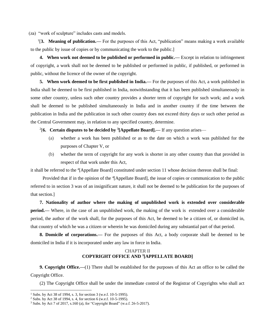(za) "work of sculpture" includes casts and models.

<sup>1</sup>[3. Meaning of publication.— For the purposes of this Act, "publication" means making a work available to the public by issue of copies or by communicating the work to the public.]

**4. When work not deemed to be published or performed in public.—** Except in relation to infringement of copyright, a work shall not be deemed to be published or performed in public, if published, or performed in public, without the licence of the owner of the copyright.

**5. When work deemed to be first published in India.—** For the purposes of this Act, a work published in India shall be deemed to be first published in India, notwithstanding that it has been published simultaneously in some other country, unless such other country provides a shorter term of copyright for such work; and a work shall be deemed to be published simultaneously in India and in another country if the time between the publication in India and the publication in such other country does not exceed thirty days or such other period as the Central Government may, in relation to any specified country, determine.

2 [**6. Certain disputes to be decided by <sup>3</sup> [Appellate Board].—** If any question arises—

- (a) whether a work has been published or as to the date on which a work was published for the purposes of Chapter V, or
- (b) whether the term of copyright for any work is shorter in any other country than that provided in respect of that work under this Act,

it shall be referred to the <sup>4</sup>[Appellate Board] constituted under section 11 whose decision thereon shall be final:

Provided that if in the opinion of the <sup>4</sup>[Appellate Board], the issue of copies or communication to the public referred to in section 3 was of an insignificant nature, it shall not be deemed to be publication for the purposes of that section.]

**7. Nationality of author where the making of unpublished work is extended over considerable period.—** Where, in the case of an unpublished work, the making of the work is extended over a considerable period, the author of the work shall, for the purposes of this Act, be deemed to be a citizen of, or domiciled in, that country of which he was a citizen or wherein he was domiciled during any substantial part of that period.

**8. Domicile of corporations.—** For the purposes of this Act, a body corporate shall be deemed to be domiciled in India if it is incorporated under any law in force in India.

# CHAPTER II **COPYRIGHT OFFICE AND <sup>3</sup> [APPELLATE BOARD]**

**9. Copyright Office.—**(1) There shall be established for the purposes of this Act an office to be called the Copyright Office.

(2) The Copyright Office shall be under the immediate control of the Registrar of Copyrights who shall act

<sup>1</sup> Subs. by Act 38 of 1994, s. 3, for section 3 (w.e.f. 10-5-1995).

<sup>2</sup> Subs. by Act 38 of 1994, s. 4, for section 6 (w.e.f. 10-5-1995).

<sup>3</sup> Subs. by Act 7 of 2017, s.160 (a), for "Copyright Board" (w.e.f. 26-5-2017).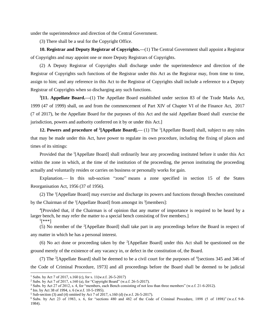under the superintendence and direction of the Central Government.

(3) There shall be a seal for the Copyright Office.

**10. Registrar and Deputy Registrar of Copyrights.—**(1) The Central Government shall appoint a Registrar of Copyrights and may appoint one or more Deputy Registrars of Copyrights.

(2) A Deputy Registrar of Copyrights shall discharge under the superintendence and direction of the Registrar of Copyrights such functions of the Registrar under this Act as the Registrar may, from time to time, assign to him; and any reference in this Act to the Registrar of Copyrights shall include a reference to a Deputy Registrar of Copyrights when so discharging any such functions.

**1 [11. Appellate Board.—**(1) The Appellate Board established under section 83 of the Trade Marks Act, 1999 (47 of 1999) shall, on and from the commencement of Part XIV of Chapter VI of the Finance Act, 2017 (7 of 2017), be the Appellate Board for the purposes of this Act and the said Appellate Board shall exercise the jurisdiction, powers and authority conferred on it by or under this Act.]

**12. Powers and procedure of <sup>2</sup>[Appellate Board].— (1) The <sup>1</sup>[Appellate Board] shall, subject to any rules** that may be made under this Act, have power to regulate its own procedure, including the fixing of places and times of its sittings:

Provided that the <sup>1</sup>[Appellate Board] shall ordinarily hear any proceeding instituted before it under this Act within the zone in which, at the time of the institution of the proceeding, the person instituting the proceeding actually and voluntarily resides or carries on business or personally works for gain.

Explanation.— In this sub-section "zone" means a zone specified in section 15 of the States Reorganisation Act, 1956 (37 of 1956).

(2) The <sup>1</sup>[Appellate Board] may exercise and discharge its powers and functions through Benches constituted by the Chairman of the <sup>1</sup>[Appellate Board] from amongst its <sup>3</sup>[members]:

4 [Provided that, if the Chairman is of opinion that any matter of importance is required to be heard by a larger bench, he may refer the matter to a special bench consisting of five members.]

5 [\*\*\*]

 $\overline{\phantom{a}}$ 

(5) No member of the <sup>2</sup> [Appellate Board] shall take part in any proceedings before the Board in respect of any matter in which he has a personal interest.

(6) No act done or proceeding taken by the <sup>2</sup> [Appellate Board] under this Act shall be questioned on the ground merely of the existence of any vacancy in, or defect in the constitution of, the Board.

(7) The <sup>2</sup>[Appellate Board] shall be deemed to be a civil court for the purposes of <sup>6</sup>[sections 345 and 346 of the Code of Criminal Procedure, 1973] and all proceedings before the Board shall be deemed to be judicial

<sup>1</sup> Subs. by Act 7 of 2017, s.160 (c), for s. 11(w.e.f. 26-5-2017)

<sup>2</sup> Subs. by Act 7 of 2017, s.160 (a), for "Copyright Board" (w.e.f. 26-5-2017).

<sup>3</sup> Subs. by Act 27 of 2012, s. 4, for "members, each Bench consisting of not less than three members" (w.e.f. 21-6-2012).

<sup>4</sup> Ins. by Act 38 of 1994, s. 6 (w.e.f. 10-5-1995).

<sup>5</sup> Sub-section (3) and (4) omitted by Act 7 of 2017, s.160 (d) (w.e.f. 26-5-2017).

<sup>6</sup> Subs. by Act 23 of 1983, s. 6, for "sections 480 and 482 of the Code of Criminal Procedure, 1898 (5 of 1898)" (w.e.f. 9-8- 1984).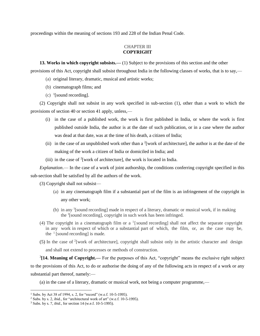proceedings within the meaning of sections 193 and 228 of the Indian Penal Code.

# CHAPTER III **COPYRIGHT**

**13. Works in which copyright subsists.—** (1) Subject to the provisions of this section and the other provisions of this Act, copyright shall subsist throughout India in the following classes of works, that is to say,—

- (a) original literary, dramatic, musical and artistic works;
- (b) cinematograph films; and
- (c)  $\frac{1}{2}$  [sound recording].

(2) Copyright shall not subsist in any work specified in sub-section (1), other than a work to which the provisions of section 40 or section 41 apply, unless,—

- (i) in the case of a published work, the work is first published in India, or where the work is first published outside India, the author is at the date of such publication, or in a case where the author was dead at that date, was at the time of his death, a citizen of India;
- (ii) in the case of an unpublished work other than a  $2$ [work of architecture], the author is at the date of the making of the work a citizen of India or domiciled in India; and
- (iii) in the case of  $2$ [work of architecture], the work is located in India.

*Explanation*.— In the case of a work of joint authorship, the conditions conferring copyright specified in this sub-section shall be satisfied by all the authors of the work.

(3) Copyright shall not subsist—

- (a) in any cinematograph film if a substantial part of the film is an infringement of the copyright in any other work;
- (b) in any <sup>1</sup>[sound recording] made in respect of a literary, dramatic or musical work, if in making the <sup>1</sup>[sound recording], copyright in such work has been infringed.
- (4) The copyright in a cinematograph film or a  $\frac{1}{2}$  [sound recording] shall not affect the separate copyright in any work in respect of which or a substantial part of which, the film, or, as the case may be, the  $<sup>1</sup>$  [sound recording] is made.</sup>
- (5) In the case of  $2$ [work of architecture], copyright shall subsist only in the artistic character and design and shall not extend to processes or methods of construction.

<sup>3</sup>[14. Meaning of Copyright.— For the purposes of this Act, "copyright" means the exclusive right subject to the provisions of this Act, to do or authorise the doing of any of the following acts in respect of a work or any substantial part thereof, namely:—

(a) in the case of a literary, dramatic or musical work, not being a computer programme,—

<sup>1</sup> Subs. by Act 38 of 1994, s. 2, for "record" (w.e.f. 10-5-1995).

<sup>2</sup> Subs. by s. 2, ibid., for "architectural work of art" (w.e.f. 10-5-1995).

<sup>3</sup> Subs. by s. 7, *ibid*., for section 14 (w.e.f. 10-5-1995).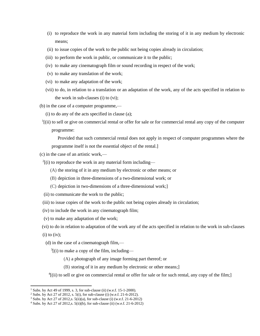- (i) to reproduce the work in any material form including the storing of it in any medium by electronic means;
- (ii) to issue copies of the work to the public not being copies already in circulation;
- (iii) to perform the work in public, or communicate it to the public;
- (iv) to make any cinematograph film or sound recording in respect of the work;
- (v) to make any translation of the work;
- (vi) to make any adaptation of the work;
- (vii) to do, in relation to a translation or an adaptation of the work, any of the acts specified in relation to the work in sub-clauses (i) to (vi);
- (b) in the case of a computer programme,—
	- (i) to do any of the acts specified in clause (a);
	- <sup>1</sup>[(ii) to sell or give on commercial rental or offer for sale or for commercial rental any copy of the computer programme:

Provided that such commercial rental does not apply in respect of computer programmes where the programme itself is not the essential object of the rental.]

- (c) in the case of an artistic work,—
	- $2(1)$  to reproduce the work in any material form including—
		- (A) the storing of it in any medium by electronic or other means; or
		- (B) depiction in three-dimensions of a two-dimensional work; or
		- (C) depiction in two-dimensions of a three-dimensional work;]
	- (ii) to communicate the work to the public;
	- (iii) to issue copies of the work to the public not being copies already in circulation;
	- (iv) to include the work in any cinematograph film;
	- (v) to make any adaptation of the work;
- (vi) to do in relation to adaptation of the work any of the acts specified in relation to the work in sub-clauses
- $(i)$  to  $(iv)$ ;

 $\overline{\phantom{a}}$ 

- (d) in the case of a cinematograph film,—
	- $3$ [(i) to make a copy of the film, including—
		- (A) a photograph of any image forming part thereof; or
		- (B) storing of it in any medium by electronic or other means;]

 $^{4}$ [(ii) to sell or give on commercial rental or offer for sale or for such rental, any copy of the film;]

<sup>&</sup>lt;sup>1</sup> Subs. by Act 49 of 1999, s. 3, for sub-clause (ii) (w.e.f. 15-1-2000).

<sup>2</sup> Subs. by Act 27 of 2012, s. 5(i), for sub-clause (i) (w.e.f. 21-6-2012).

<sup>3</sup> Subs. by Act 27 of 2012,s. 5(ii)(a), for sub-clause (i) (w.e.f. 21-6-2012)

<sup>4</sup> Subs. by Act 27 of 2012,s. 5(ii)(b), for sub-clause (ii) (w.e.f. 21-6-2012)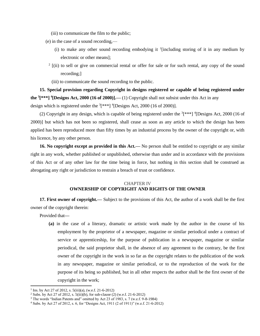- (iii) to communicate the film to the public;
- (e) in the case of a sound recording,—
	- $(i)$  to make any other sound recording embodying it <sup>1</sup>[including storing of it in any medium by electronic or other means];
	- $2$  [(ii) to sell or give on commercial rental or offer for sale or for such rental, any copy of the sound recording;]
	- (iii) to communicate the sound recording to the public.

**15. Special provision regarding Copyright in designs registered or capable of being registered under the <sup>3</sup> [\*\*\*] <sup>4</sup> [Designs Act, 2000 (16 of 2000)].—** (1) Copyright shall not subsist under this Act in any design which is registered under the  $3$ [\*\*\*]  $4$ [Designs Act, 2000 (16 of 2000)].

(2) Copyright in any design, which is capable of being registered under the  $3$ [\*\*\*]  $4$ [Designs Act, 2000 (16 of 2000)] but which has not been so registered, shall cease as soon as any article to which the design has been applied has been reproduced more than fifty times by an industrial process by the owner of the copyright or, with his licence, by any other person.

**16. No copyright except as provided in this Act.—** No person shall be entitled to copyright or any similar right in any work, whether published or unpublished, otherwise than under and in accordance with the provisions of this Act or of any other law for the time being in force, but nothing in this section shall be construed as abrogating any right or jurisdiction to restrain a breach of trust or confidence.

#### CHAPTER IV

# **OWNERSHIP OF COPYRIGHT AND RIGHTS OF THE OWNER**

**17. First owner of copyright.—** Subject to the provisions of this Act, the author of a work shall be the first owner of the copyright therein:

Provided that**—**

 $\overline{\phantom{a}}$ 

**(a)** in the case of a literary, dramatic or artistic work made by the author in the course of his employment by the proprietor of a newspaper, magazine or similar periodical under a contract of service or apprenticeship, for the purpose of publication in a newspaper, magazine or similar periodical, the said proprietor shall, in the absence of any agreement to the contrary, be the first owner of the copyright in the work in so far as the copyright relates to the publication of the work in any newspaper, magazine or similar periodical, or to the reproduction of the work for the purpose of its being so published, but in all other respects the author shall be the first owner of the copyright in the work;

<sup>&</sup>lt;sup>1</sup> Ins. by Act 27 of 2012, s. 5(iii)(a), (w.e.f. 21-6-2012)

<sup>&</sup>lt;sup>2</sup> Subs. by Act 27 of 2012, s. 5(iii)(b), for sub-clause (2) (w.e.f. 21-6-2012)

<sup>3</sup> The words "Indian Patents and" omitted by Act 23 of 1983, s. 7 (w.e.f. 9-8-1984)

<sup>4</sup> Subs. by Act 27 of 2012, s. 6, for "Designs Act, 1911 (2 of 1911)" (w.e.f. 21-6-2012)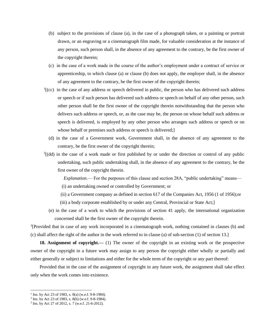- (b) subject to the provisions of clause (a), in the case of a photograph taken, or a painting or portrait drawn, or an engraving or a cinematograph film made, for valuable consideration at the instance of any person, such person shall, in the absence of any agreement to the contrary, be the first owner of the copyright therein;
- (c) in the case of a work made in the course of the author's employment under a contract of service or apprenticeship, to which clause (a) or clause (b) does not apply, the employer shall, in the absence of any agreement to the contrary, be the first owner of the copyright therein;
- $<sup>1</sup>$ [(cc) in the case of any address or speech delivered in public, the person who has delivered such address</sup> or speech or if such person has delivered such address or speech on behalf of any other person, such other person shall be the first owner of the copyright therein notwithstanding that the person who delivers such address or speech, or, as the case may be, the person on whose behalf such address or speech is delivered, is employed by any other person who arranges such address or speech or on whose behalf or premises such address or speech is delivered;
	- (d) in the case of a Government work, Government shall, in the absence of any agreement to the contrary, be the first owner of the copyright therein;
- $2[(dd)$  in the case of a work made or first published by or under the direction or control of any public undertaking, such public undertaking shall, in the absence of any agreement to the contrary, be the first owner of the copyright therein.

*Explanation*.— For the purposes of this clause and section 28A, "public undertaking" means—

(i) an undertaking owned or controlled by Government; or

- (ii) a Government company as defined in section 617 of the Companies Act, 1956 (1 of 1956);or
- (iii) a body corporate established by or under any Central, Provincial or State Act;]
- (e) in the case of a work to which the provisions of section 41 apply, the international organization concerned shall be the first owner of the copyright therein.

<sup>3</sup>[Provided that in case of any work incorporated in a cinematograph work, nothing contained in clauses (b) and (c) shall affect the right of the author in the work referred to in clause (a) of sub-section (1) of section 13.]

**18. Assignment of copyright.—** (1) The owner of the copyright in an existing work or the prospective owner of the copyright in a future work may assign to any person the copyright either wholly or partially and either generally or subject to limitations and either for the whole term of the copyright or any part thereof:

Provided that in the case of the assignment of copyright in any future work, the assignment shall take effect only when the work comes into existence.

<sup>&</sup>lt;sup>1</sup> Ins. by Act 23 of 1983, s. 8(a) (w.e.f. 9-8-1984).

<sup>2</sup> Ins. by Act 23 of 1983, s. 8(b) (w.e.f. 9-8-1984).

<sup>3</sup> Ins. by Act 27 of 2012, s. 7 (w.e.f. 21-6-2012).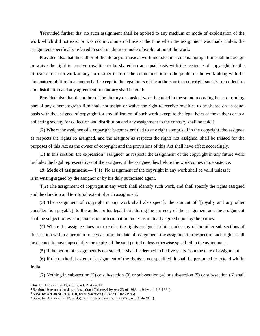<sup>1</sup>[Provided further that no such assignment shall be applied to any medium or mode of exploitation of the work which did not exist or was not in commercial use at the time when the assignment was made, unless the assignment specifically referred to such medium or mode of exploitation of the work:

Provided also that the author of the literary or musical work included in a cinematograph film shall not assign or waive the right to receive royalties to be shared on an equal basis with the assignee of copyright for the utilization of such work in any form other than for the communication to the public of the work along with the cinematograph film in a cinema hall, except to the legal heirs of the authors or to a copyright society for collection and distribution and any agreement to contrary shall be void:

Provided also that the author of the literary or musical work included in the sound recording but not forming part of any cinematograph film shall not assign or waive the right to receive royalties to be shared on an equal basis with the assignee of copyright for any utilization of such work except to the legal heirs of the authors or to a collecting society for collection and distribution and any assignment to the contrary shall be void.]

(2) Where the assignee of a copyright becomes entitled to any right comprised in the copyright, the assignee as respects the rights so assigned, and the assignor as respects the rights not assigned, shall be treated for the purposes of this Act as the owner of copyright and the provisions of this Act shall have effect accordingly.

(3) In this section, the expression "assignee" as respects the assignment of the copyright in any future work includes the legal representatives of the assignee, if the assignee dies before the work comes into existence.

**19. Mode of assignment.**—<sup>2</sup>[(1)] No assignment of the copyright in any work shall be valid unless it is in writing signed by the assignor or by his duly authorised agent.

 $3(2)$  The assignment of copyright in any work shall identify such work, and shall specify the rights assigned and the duration and territorial extent of such assignment.

(3) The assignment of copyright in any work shall also specify the amount of <sup>4</sup>[royalty and any other consideration payable], to the author or his legal heirs during the currency of the assignment and the assignment shall be subject to revision, extension or termination on terms mutually agreed upon by the parties.

(4) Where the assignee does not exercise the rights assigned to him under any of the other sub-sections of this section within a period of one year from the date of assignment, the assignment in respect of such rights shall be deemed to have lapsed after the expiry of the said period unless otherwise specified in the assignment.

(5) If the period of assignment is not stated, it shall be deemed to be five years from the date of assignment.

(6) If the territorial extent of assignment of the rights is not specified, it shall be presumed to extend within India.

(7) Nothing in sub-section (2) or sub-section (3) or sub-section (4) or sub-section (5) or sub-section (6) shall

<sup>1</sup> Ins. by Act 27 of 2012, s. 8 (w.e.f. 21-6-2012)

<sup>2</sup> Section 19 re-numbered as sub-section (*1*) thereof by Act 23 of 1983, s. 9 (w.e.f. 9-8-1984).

<sup>3</sup> Subs. by Act 38 of 1994, s. 8, for sub-section (*2*) (w.e.f. 10-5-1995).

<sup>4</sup> Subs. by Act 27 of 2012, s. 9(i), for "royalty payable, if any" (w.e.f. 21-6-2012).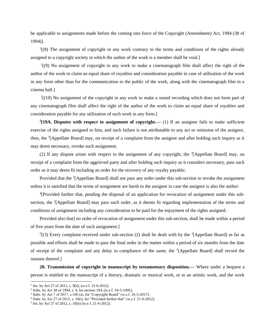be applicable to assignments made before the coming into force of the Copyright (Amendment) Act, 1994 (38 of 1994)].

 $<sup>1</sup>$ [(8) The assignment of copyright in any work contrary to the terms and conditions of the rights already</sup> assigned to a copyright society in which the author of the work is a member shall be void.]

 $1(9)$  No assignment of copyright in any work to make a cinematograph film shall affect the right of the author of the work to claim an equal share of royalties and consideration payable in case of utilisation of the work in any form other than for the communication to the public of the work, along with the cinematograph film in a cinema hall.]

<sup>1</sup>[(10) No assignment of the copyright in any work to make a sound recording which does not form part of any cinematograph film shall affect the right of the author of the work to claim an equal share of royalties and consideration payable for any utilization of such work in any form.]

**2 [19A. Disputes with respect to assignment of copyright.—** (1) If an assignee fails to make sufficient exercise of the rights assigned to him, and such failure is not attributable to any act or omission of the assignor, then, the <sup>3</sup>[Appellate Board] may, on receipt of a complaint from the assignor and after holding such inquiry as it may deem necessary, revoke such assignment.

(2) If any dispute arises with respect to the assignment of any copyright, the  ${}^{3}$ [Appellate Board] may, on receipt of a complaint from the aggrieved party and after holding such inquiry as it considers necessary, pass such order as it may deem fit including an order for the recovery of any royalty payable:

Provided that the <sup>3</sup>[Appellate Board] shall not pass any order under this sub-section to revoke the assignment unless it is satisfied that the terms of assignment are harsh to the assignor in case the assignor is also the author:

<sup>4</sup>[Provided further that, pending the disposal of an application for revocation of assignment under this subsection, the <sup>3</sup>[Appellate Board] may pass such order, as it deems fit regarding implementation of the terms and conditions of assignment including any consideration to be paid for the enjoyment of the rights assigned:

Provided also that] no order of revocation of assignment under this sub-section, shall be made within a period of five years from the date of such assignment.]

 ${}^5$ [(3) Every complaint received under sub-section (2) shall be dealt with by the  ${}^3$ [Appellate Board] as far as possible and efforts shall be made to pass the final order in the matter within a period of six months from the date of receipt of the complaint and any delay in compliance of the same, the <sup>3</sup>[Appellate Board] shall record the reasons thereof.]

**20. Transmission of copyright in manuscript by testamentary disposition.—** Where under a bequest a person is entitled to the manuscript of a literary, dramatic or musical work, or to an artistic work, and the work

<sup>&</sup>lt;sup>1</sup> Ins. by Act 27 of 2012, s. 9(ii), (w.e.f. 21-6-2012).

<sup>2</sup> Subs. by Act 38 of 1994, s. 9, for section 19A (w.e.f. 10-5-1995).

<sup>3</sup> Subs. by Act 7 of 2017, s.160 (a), for "Copyright Board" (w.e.f. 26-5-2017).

<sup>4</sup> Subs. by Act 27 of 2012, s. 10(i), for "Provided further that" (w.e.f. 21-6-2012).

<sup>5</sup> Ins. by Act 27 of 2012, s. 10(ii) (w.e.f. 21-6-2012).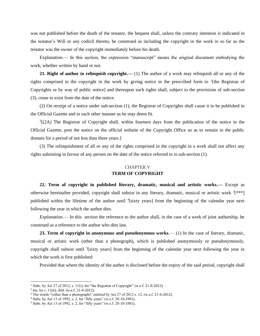was not published before the death of the testator, the bequest shall, unless the contrary intention is indicated in the testator's Will or any codicil thereto, be construed as including the copyright in the work in so far as the testator was the owner of the copyright immediately before his death.

Explanation.— In this section, the expression "manuscript" means the original document embodying the work, whether written by hand or not.

**21. Right of author to relinquish copyright.—** (1) The author of a work may relinquish all or any of the rights comprised in the copyright in the work by giving notice in the prescribed form to <sup>1</sup>[the Registrar of Copyrights or by way of public notice] and thereupon such rights shall, subject to the provisions of sub-section (3), cease to exist from the date of the notice.

(2) On receipt of a notice under sub-section (1), the Registrar of Copyrights shall cause it to be published in the Official Gazette and in such other manner as he may deem fit.

 $2$ [(2A) The Registrar of Copyright shall, within fourteen days from the publication of the notice in the Official Gazette, post the notice on the official website of the Copyright Office so as to remain in the public domain for a period of not less than three years.]

(3) The relinquishment of all or any of the rights comprised in the copyright in a work shall not affect any rights subsisting in favour of any person on the date of the notice referred to in sub-section (1).

# CHAPTER V **TERM OF COPYRIGHT**

**22. Term of copyright in published literary, dramatic, musical and artistic works.—** Except as otherwise hereinafter provided, copyright shall subsist in any literary, dramatic, musical or artistic work <sup>3</sup>[\*\*\*] published within the lifetime of the author until <sup>4</sup>[sixty years] from the beginning of the calendar year next following the year in which the author dies.

*Explanation*.— In this section the reference to the author shall, in the case of a work of joint authorship, be construed as a reference to the author who dies last.

**23. Term of copyright in anonymous and pseudonymous works**.— (1) In the case of literary, dramatic, musical or artistic work (other than a photograph), which is published anonymously or pseudonymously, copyright shall subsist until <sup>5</sup>[sixty years] from the beginning of the calendar year next following the year in which the work is first published:

Provided that where the identity of the author is disclosed before the expiry of the said period, copyright shall

<sup>&</sup>lt;sup>1</sup> Subs. by Act 27 of 2012, s. 11(i), for "the Registrar of Copyright" (w.e.f. 21-6-2012).

<sup>2</sup> Ins. by s. 11(ii), *ibid*. (w.e.f. 21-6-2012).

<sup>3</sup> The words "(other than a photograph)" omitted by Act 27 of 2012 s. 12, (w.e.f. 21-6-2012).

<sup>4</sup> Subs. by Act 13 of 1992, s. 2, for "fifty years" (w.e.f. 28-10-1991).

<sup>5</sup> Subs. by Act 13 of 1992, s. 2, for "fifty years" (w.e.f. 28-10-1991).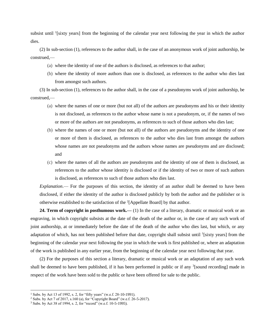subsist until  $\frac{1}{1}$ [sixty years] from the beginning of the calendar year next following the year in which the author dies.

(2) In sub-section (1), references to the author shall, in the case of an anonymous work of joint authorship, be construed,—

- (a) where the identity of one of the authors is disclosed, as references to that author;
- (b) where the identity of more authors than one is disclosed, as references to the author who dies last from amongst such authors.

(3) In sub-section (1), references to the author shall, in the case of a pseudonyms work of joint authorship, be construed,—

- (a) where the names of one or more (but not all) of the authors are pseudonyms and his or their identity is not disclosed, as references to the author whose name is not a pseudonym, or, if the names of two or more of the authors are not pseudonyms, as references to such of those authors who dies last;
- (b) where the names of one or more (but not all) of the authors are pseudonyms and the identity of one or more of them is disclosed, as references to the author who dies last from amongst the authors whose names are not pseudonyms and the authors whose names are pseudonyms and are disclosed; and
- (c) where the names of all the authors are pseudonyms and the identity of one of them is disclosed, as references to the author whose identity is disclosed or if the identity of two or more of such authors is disclosed, as references to such of those authors who dies last.

*Explanation*.— For the purposes of this section, the identity of an author shall be deemed to have been disclosed, if either the identity of the author is disclosed publicly by both the author and the publisher or is otherwise established to the satisfaction of the <sup>2</sup>[Appellate Board] by that author.

**24. Term of copyright in posthumous work.—** (1) In the case of a literary, dramatic or musical work or an engraving, in which copyright subsists at the date of the death of the author or, in the case of any such work of joint authorship, at or immediately before the date of the death of the author who dies last, but which, or any adaptation of which, has not been published before that date, copyright shall subsist until <sup>1</sup>[sixty years] from the beginning of the calendar year next following the year in which the work is first published or, where an adaptation of the work is published in any earlier year, from the beginning of the calendar year next following that year.

(2) For the purposes of this section a literary, dramatic or musical work or an adaptation of any such work shall be deemed to have been published, if it has been performed in public or if any <sup>3</sup>[sound recording] made in respect of the work have been sold to the public or have been offered for sale to the public.

<sup>1</sup> Subs. by Act 13 of 1992, s. 2, for "fifty years" (w.e.f. 28-10-1991).

<sup>2</sup> Subs. by Act 7 of 2017, s.160 (a), for "Copyright Board" (w.e.f. 26-5-2017).

<sup>3</sup> Subs. by Act 38 of 1994, s. 2, for "record" (w.e.f. 10-5-1995).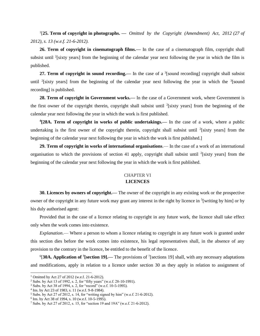1 [**25. Term of copyright in photographs. —** *Omitted by the Copyright (Amendment) Act, 2012 (27 of 2012), s. 13 (w.e.f. 21-6-2012).*

**26. Term of copyright in cinematograph films.—** In the case of a cinematograph film, copyright shall subsist until  $2$ [sixty years] from the beginning of the calendar year next following the year in which the film is published.

**27. Term of copyright in sound recording.—** In the case of a <sup>3</sup>[sound recording] copyright shall subsist until  $2$ [sixty years] from the beginning of the calendar year next following the year in which the  $3$ [sound recording] is published.

**28. Term of copyright in Government works.—** In the case of a Government work, where Government is the first owner of the copyright therein, copyright shall subsist until  $2$ [sixty years] from the beginning of the calendar year next following the year in which the work is first published.

**4 [28A. Term of copyright in works of public undertakings.—** In the case of a work, where a public undertaking is the first owner of the copyright therein, copyright shall subsist until  $2$ [sixty years] from the beginning of the calendar year next following the year in which the work is first published.]

**29. Term of copyright in works of international organisations**.— In the case of a work of an international organisation to which the provisions of section 41 apply, copyright shall subsist until  $2$ [sixty years] from the beginning of the calendar year next following the year in which the work is first published.

## CHAPTER VI **LICENCES**

**30. Licences by owners of copyright.—** The owner of the copyright in any existing work or the prospective owner of the copyright in any future work may grant any interest in the right by licence in <sup>5</sup>[writing by him] or by his duly authorised agent:

Provided that in the case of a licence relating to copyright in any future work, the licence shall take effect only when the work comes into existence.

*Explanation*.— Where a person to whom a licence relating to copyright in any future work is granted under this section dies before the work comes into existence, his legal representatives shall, in the absence of any provision to the contrary in the licence, be entitled to the benefit of the licence.

6 [**30A. Application of <sup>7</sup> [section 19].—** The provisions of <sup>7</sup> [sections 19] shall, with any necessary adaptations and modifications, apply in relation to a licence under section 30 as they apply in relation to assignment of

<sup>1</sup> Omitted by Act 27 of 2012 (w.e.f. 21-6-2012).

<sup>2</sup> Subs. by Act 13 of 1992, s. 2, for "fifty years" (w.e.f. 28-10-1991).

<sup>3</sup> Subs. by Act 38 of 1994, s. 2, for "record" (w.e.f. 10-5-1995).

<sup>4</sup> Ins. by Act 23 of 1983, s. 11 (w.e.f. 9-8-1984).

 $5$  Subs. by Act 27 of 2012, s. 14, for "writing signed by him" (w.e.f. 21-6-2012).

<sup>6</sup> Ins. by Act 38 of 1994, s. 10 (w.e.f. 10-5-1995).

<sup>7</sup> Subs. by Act 27 of 2012, s. 15, for "section 19 and 19A" (w.e.f. 21-6-2012).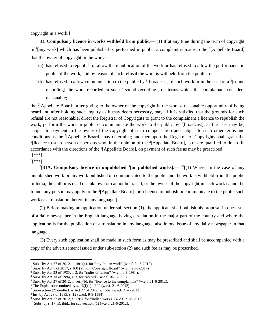copyright in a work.]

**31. Compulsory licence in works withheld from public.— (1)** If at any time during the term of copyright in  $\frac{1}{2}$  [any work] which has been published or performed in public, a complaint is made to the  $\frac{2}{2}$ [Appellate Board] that the owner of copyright in the work—

- (a) has refused to republish or allow the republication of the work or has refused to allow the performance in public of the work, and by reason of such refusal the work is withheld from the public; or
- (b) has refused to allow communication to the public by  $3$ [broadcast] of such work or in the case of a  $4$ [sound recording] the work recorded in such <sup>4</sup>[sound recording], on terms which the complainant considers reasonable;

the <sup>2</sup>[Appellate Board], after giving to the owner of the copyright in the work a reasonable opportunity of being heard and after holding such inquiry as it may deem necessary, may, if it is satisfied that the grounds for such refusal are not reasonable, direct the Registrar of Copyrights to grant to the complainant a licence to republish the work, perform the work in public or communicate the work to the public by <sup>3</sup>[broadcast], as the case may be, subject to payment to the owner of the copyright of such compensation and subject to such other terms and conditions as the <sup>2</sup>[Appellate Board] may determine; and thereupon the Registrar of Copyrights shall grant the <sup>5</sup>[licence to such person or persons who, in the opinion of the  $2$ [Appellate Board], is or are qualified to do so] in accordance with the directions of the <sup>2</sup>[Appellate Board], on payment of such fee as may be prescribed. 6 [\*\*\*]

7 [\*\*\*]

l

<sup>8</sup>[31A. Compulsory licence in unpublished <sup>9</sup>[or published works].—  $^{10}$ [(1) Where, in the case of any unpublished work or any work published or communicated to the public and the work is withheld from the public in India, the author is dead or unknown or cannot be traced, or the owner of the copyright in such work cannot be found, any person may apply to the <sup>2</sup>[Appellate Board] for a licence to publish or communicate to the public such work or a translation thereof in any language.]

(2) Before making an application under sub-section (1), the applicant shall publish his proposal in one issue of a daily newspaper in the English language having circulation in the major part of the country and where the application is for the publication of a translation in any language, also in one issue of any daily newspaper in that language.

(3) Every such application shall be made in such form as may be prescribed and shall be accompanied with a copy of the advertisement issued under sub-section (2) and such fee as may be prescribed.

<sup>&</sup>lt;sup>1</sup> Subs. by Act 27 of 2012, s. 16(i)(a), for "any Indian work" (w.e.f. 21-6-2012).

<sup>2</sup> Subs. by Act 7 of 2017, s.160 (a), for "Copyright Board" (w.e.f. 26-5-2017)

<sup>3</sup> Subs. by Act 23 of 1983, s. 2, for "radio-diffusion" (w.e.f. 9-8-1984).

<sup>4</sup> Subs. by Act 38 of 1994, s. 2, for "record" (w.e.f. 10-5-1995).

 $5$  Subs. by Act 27 of 2012, s. 16(i)(b), for "licence to the complainant" (w.e.f. 21-6-2012).

<sup>&</sup>lt;sup>6</sup> The Explanation omitted by s.  $16(i)(c)$ , *ibid.* (w.e.f. 21-6-2012).

<sup>7</sup> Sub-section (2) omitted by Act 27 of 2012, s. 16(ii) (w.e.f. 21-6-2012).

<sup>8</sup> Ins. by Act 23 of 1983, s. 12 (w.e.f. 9-8-1984).

<sup>9</sup> Subs. by Act 27 of 2012, s. 17(i), for "Indian works" (w.e.f. 21-6-2012).

 $10$  Subs. by s. 17(ii), ibid., for sub-section (1) (w.e.f. 21-6-2012).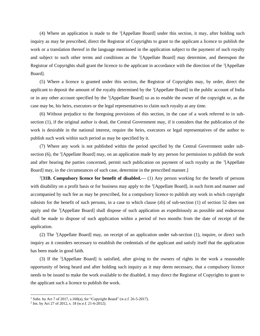(4) Where an application is made to the  ${}^{1}[$ Appellate Board] under this section, it may, after holding such inquiry as may be prescribed, direct the Registrar of Copyrights to grant to the applicant a licence to publish the work or a translation thereof in the language mentioned in the application subject to the payment of such royalty and subject to such other terms and conditions as the <sup>1</sup>[Appellate Board] may determine, and thereupon the Registrar of Copyrights shall grant the licence to the applicant in accordance with the direction of the <sup>1</sup>[Appellate Board].

(5) Where a licence is granted under this section, the Registrar of Copyrights may, by order, direct the applicant to deposit the amount of the royalty determined by the <sup>1</sup>[Appellate Board] in the public account of India or in any other account specified by the <sup>1</sup>[Appellate Board] so as to enable the owner of the copyright or, as the case may be, his heirs, executors or the legal representatives to claim such royalty at any time.

(6) Without prejudice to the foregoing provisions of this section, in the case of a work referred to in subsection (1), if the original author is dead, the Central Government may, if it considers that the publication of the work is desirable in the national interest, require the heirs, executors or legal representatives of the author to publish such work within such period as may be specified by it.

(7) Where any work is not published within the period specified by the Central Government under subsection  $(6)$ , the <sup>1</sup>[Appellate Board] may, on an application made by any person for permission to publish the work and after hearing the parties concerned, permit such publication on payment of such royalty as the <sup>1</sup>[Appellate Board] may, in the circumstances of such case, determine in the prescribed manner.]

2 [**31B. Compulsory licence for benefit of disabled.—** (1) Any person working for the benefit of persons with disability on a profit basis or for business may apply to the <sup>1</sup>[Appellate Board], in such form and manner and accompanied by such fee as may be prescribed, for a compulsory licence to publish any work in which copyright subsists for the benefit of such persons, in a case to which clause (zb) of sub-section (1) of section 52 does not apply and the <sup>1</sup>[Appellate Board] shall dispose of such application as expeditiously as possible and endeavour shall be made to dispose of such application within a period of two months from the date of receipt of the application.

(2) The <sup>1</sup>[Appellate Board] may, on receipt of an application under sub-section (1), inquire, or direct such inquiry as it considers necessary to establish the credentials of the applicant and satisfy itself that the application has been made in good faith.

(3) If the <sup>1</sup> [Appellate Board] is satisfied, after giving to the owners of rights in the work a reasonable opportunity of being heard and after holding such inquiry as it may deem necessary, that a compulsory licence needs to be issued to make the work available to the disabled, it may direct the Registrar of Copyrights to grant to the applicant such a licence to publish the work.

<sup>&</sup>lt;sup>1</sup> Subs. by Act 7 of 2017, s.160(a), for "Copyright Board" (w.e.f. 26-5-2017).

<sup>2</sup> Ins. by Act 27 of 2012, s. 18 (w.e.f. 21-6-2012).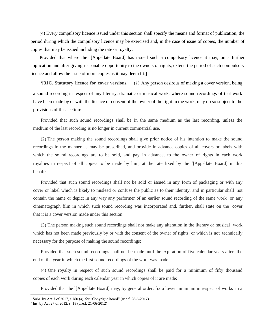(4) Every compulsory licence issued under this section shall specify the means and format of publication, the period during which the compulsory licence may be exercised and, in the case of issue of copies, the number of copies that may be issued including the rate or royalty:

Provided that where the <sup>1</sup>[Appellate Board] has issued such a compulsory licence it may, on a further application and after giving reasonable opportunity to the owners of rights, extend the period of such compulsory licence and allow the issue of more copies as it may deem fit.]

**2 [31C. Statutory licence for cover versions.**— (*1*) Any person desirous of making a cover version, being a sound recording in respect of any literary, dramatic or musical work, where sound recordings of that work have been made by or with the licence or consent of the owner of the right in the work, may do so subject to the provisions of this section:

Provided that such sound recordings shall be in the same medium as the last recording, unless the medium of the last recording is no longer in current commercial use.

(2) The person making the sound recordings shall give prior notice of his intention to make the sound recordings in the manner as may be prescribed, and provide in advance copies of all covers or labels with which the sound recordings are to be sold, and pay in advance, to the owner of rights in each work royalties in respect of all copies to be made by him, at the rate fixed by the <sup>1</sup>[Appellate Board] in this behalf:

Provided that such sound recordings shall not be sold or issued in any form of packaging or with any cover or label which is likely to mislead or confuse the public as to their identity, and in particular shall not contain the name or depict in any way any performer of an earlier sound recording of the same work or any cinematograph film in which such sound recording was incorporated and, further, shall state on the cover that it is a cover version made under this section.

(3) The person making such sound recordings shall not make any alteration in the literary or musical work which has not been made previously by or with the consent of the owner of rights, or which is not technically necessary for the purpose of making the sound recordings:

Provided that such sound recordings shall not be made until the expiration of five calendar years after the end of the year in which the first sound recordings of the work was made.

(4) One royalty in respect of such sound recordings shall be paid for a minimum of fifty thousand copies of each work during each calendar year in which copies of it are made:

Provided that the <sup>1</sup>[Appellate Board] may, by general order, fix a lower minimum in respect of works in a

<sup>&</sup>lt;sup>1</sup> Subs. by Act 7 of 2017, s.160 (a), for "Copyright Board" (w.e.f. 26-5-2017).

<sup>2</sup> Ins. by Act 27 of 2012, s. 18 (w.e.f. 21-06-2012)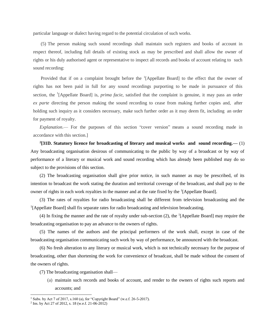particular language or dialect having regard to the potential circulation of such works.

(5) The person making such sound recordings shall maintain such registers and books of account in respect thereof, including full details of existing stock as may be prescribed and shall allow the owner of rights or his duly authorised agent or representative to inspect all records and books of account relating to such sound recording:

Provided that if on a complaint brought before the <sup>1</sup>[Appellate Board] to the effect that the owner of rights has not been paid in full for any sound recordings purporting to be made in pursuance of this section, the <sup>1</sup>[Appellate Board] is, *prima facie*, satisfied that the complaint is genuine, it may pass an order *ex parte* directing the person making the sound recording to cease from making further copies and, after holding such inquiry as it considers necessary, make such further order as it may deem fit, including an order for payment of royalty.

*Explanation*.— For the purposes of this section "cover version" means a sound recording made in accordance with this section.]

**2 [31D. Statutory licence for broadcasting of literary and musical works and sound recording.—** (1) Any broadcasting organisation desirous of communicating to the public by way of a broadcast or by way of performance of a literary or musical work and sound recording which has already been published may do so subject to the provisions of this section.

(2) The broadcasting organisation shall give prior notice, in such manner as may be prescribed, of its intention to broadcast the work stating the duration and territorial coverage of the broadcast, and shall pay to the owner of rights in each work royalties in the manner and at the rate fixed by the <sup>1</sup>[Appellate Board].

(3) The rates of royalties for radio broadcasting shall be different from television broadcasting and the <sup>1</sup>[Appellate Board] shall fix separate rates for radio broadcasting and television broadcasting.

(4) In fixing the manner and the rate of royalty under sub-section  $(2)$ , the <sup>1</sup>[Appellate Board] may require the broadcasting organisation to pay an advance to the owners of rights.

(5) The names of the authors and the principal performers of the work shall, except in case of the broadcasting organisation communicating such work by way of performance, be announced with the broadcast.

(6) No fresh alteration to any literary or musical work, which is not technically necessary for the purpose of broadcasting, other than shortening the work for convenience of broadcast, shall be made without the consent of the owners of rights.

- (7) The broadcasting organisation shall—
	- (a) maintain such records and books of account, and render to the owners of rights such reports and accounts; and

<sup>&</sup>lt;sup>1</sup> Subs. by Act 7 of 2017, s.160 (a), for "Copyright Board" (w.e.f. 26-5-2017).

<sup>2</sup> Ins. by Act 27 of 2012, s. 18 (w.e.f. 21-06-2012)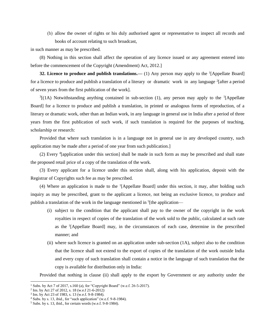(b) allow the owner of rights or his duly authorised agent or representative to inspect all records and books of account relating to such broadcast,

in such manner as may be prescribed.

(8) Nothing in this section shall affect the operation of any licence issued or any agreement entered into before the commencement of the Copyright (Amendment) Act, 2012.]

**32. Licence to produce and publish translations.—** (1) Any person may apply to the <sup>1</sup>[Appellate Board] for a licence to produce and publish a translation of a literary or dramatic work in any language <sup>2</sup>[after a period of seven years from the first publication of the work].

 $3(1)$  Notwithstanding anything contained in sub-section (1), any person may apply to the <sup>1</sup>[Appellate] Board] for a licence to produce and publish a translation, in printed or analogous forms of reproduction, of a literary or dramatic work, other than an Indian work, in any language in general use in India after a period of three years from the first publication of such work, if such translation is required for the purposes of teaching, scholarship or research:

Provided that where such translation is in a language not in general use in any developed country, such application may be made after a period of one year from such publication.]

(2) Every <sup>4</sup> [application under this section] shall be made in such form as may be prescribed and shall state the proposed retail price of a copy of the translation of the work.

(3) Every applicant for a licence under this section shall, along with his application, deposit with the Registrar of Copyrights such fee as may be prescribed.

(4) Where an application is made to the  ${}^{1}[$ Appellate Board] under this section, it may, after holding such inquiry as may be prescribed, grant to the applicant a licence, not being an exclusive licence, to produce and publish a translation of the work in the language mentioned in  $\frac{5}{1}$  [the application—

- (i) subject to the condition that the applicant shall pay to the owner of the copyright in the work royalties in respect of copies of the translation of the work sold to the public, calculated at such rate as the <sup>1</sup>[Appellate Board] may, in the circumstances of each case, determine in the prescribed manner; and
- (ii) where such licence is granted on an application under sub-section (1A), subject also to the condition that the licence shall not extend to the export of copies of the translation of the work outside India and every copy of such translation shall contain a notice in the language of such translation that the copy is available for distribution only in India:

Provided that nothing in clause (ii) shall apply to the export by Government or any authority under the

<sup>1</sup> Subs. by Act 7 of 2017, s.160 (a), for "Copyright Board" (w.e.f. 26-5-2017).

<sup>2</sup> Ins. by Act 27 of 2012, s. 18 (w.e.f 21-6-2012)

<sup>3</sup> Ins. by Act 23 of 1983, s. 13 (w.e.f. 9-8-1984).

<sup>4</sup> Subs. by s. 13, ibid., for "such application" (w.e.f. 9-8-1984).

<sup>5</sup> Subs. by s. 13, ibid., for certain words (w.e.f. 9-8-1984).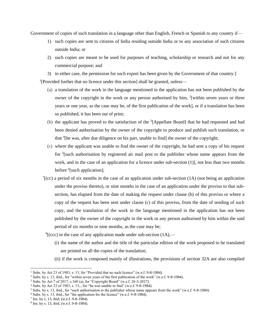Government of copies of such translation in a language other than English, French or Spanish to any country if—

- 1) such copies are sent to citizens of India residing outside India or to any association of such citizens outside India; or
- 2) such copies are meant to be used for purposes of teaching, scholarship or research and not for any commercial purpose; and
- 3) in either case, the permission for such export has been given by the Government of that country:]

<sup>1</sup>[Provided further that no licence under this section] shall be granted, unless—

- (a) a translation of the work in the language mentioned in the application has not been published by the owner of the copyright in the work or any person authorised by him, <sup>2</sup>[within seven years or three years or one year, as the case may be, of the first publication of the work], or if a translation has been so published, it has been out of print;
- (b) the applicant has proved to the satisfaction of the  ${}^{3}$ [Appellate Board] that he had requested and had been denied authorisation by the owner of the copyright to produce and publish such translation, or that <sup>4</sup>[he was, after due diligence on his part, unable to find] the owner of the copyright;
- (c) where the applicant was unable to find the owner of the copyright, he had sent a copy of his request for <sup>5</sup>[such authorisation by registered air mail post to the publisher whose name appears from the work, and in the case of an application for a licence under sub-section (1)], not less than two months before <sup>6</sup>[such application];
- $7$ [(cc) a period of six months in the case of an application under sub-section (1A) (not being an application under the proviso thereto), or nine months in the case of an application under the proviso to that subsection, has elapsed from the date of making the request under clause (b) of this proviso or where a copy of the request has been sent under clause (c) of this proviso, from the date of sending of such copy, and the translation of the work in the language mentioned in the application has not been published by the owner of the copyright in the work or any person authorised by him within the said period of six months or nine months, as the case may be;

 ${}^{8}$ [(ccc) in the case of any application made under sub-section (1A),—

- (i) the name of the author and the title of the particular edition of the work proposed to be translated are printed on all the copies of the translation;
- (ii) if the work is composed mainly of illustrations, the provisions of section 32A are also complied

7 Ins. by s. 13, ibid. (w.e.f. 9-8-1984).

<sup>&</sup>lt;sup>1</sup> Subs. by Act 23 of 1983, s. 13, for "Provided that no such licence" (w.e.f. 9-8-1984).

<sup>2</sup> Subs. by s. 13, ibid., for "within seven years of the first publication of the work" (w.e.f. 9-8-1984).

<sup>3</sup> Subs. by Act 7 of 2017, s.160 (a), for "Copyright Board" (w.e.f. 26-5-2017).

<sup>4</sup> Subs. by Act 23 of 1983, s. 13,., for "he was unable to find" (w.e.f. 9-8-1984).

<sup>5</sup> Subs. by s. 13, ibid., for "such authorisation to the publisher whose name appears from the work" (w.e.f. 9-8-1984).

<sup>6</sup> Subs. by s. 13, ibid., for "the application for the licence" (w.e.f. 9-8-1984).

<sup>8</sup> Ins. by s. 13, ibid. (w.e.f. 9-8-1984).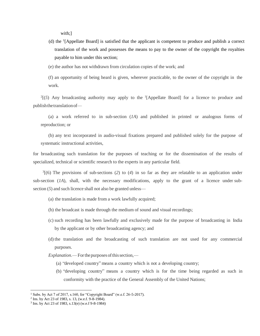with:1

- (d) the <sup>1</sup> [Appellate Board] is satisfied that the applicant is competent to produce and publish a correct translation of the work and possesses the means to pay to the owner of the copyright the royalties payable to him under this section;
- (e) the author has not withdrawn from circulation copies of the work; and
- (f) an opportunity of being heard is given, wherever practicable, to the owner of the copyright in the work.

 $2(5)$  Any broadcasting authority may apply to the <sup>1</sup>[Appellate Board] for a licence to produce and publishthetranslationof—

(a) a work referred to in sub-section (*1A*) and published in printed or analogous forms of reproduction; or

(b) any text incorporated in audio-visual fixations prepared and published solely for the purpose of systematic instructional activities,

for broadcasting such translation for the purposes of teaching or for the dissemination of the results of specialized, technical or scientific research to the experts in any particular field.

3 [(6) The provisions of sub-sections (*2*) to (*4*) in so far as they are relatable to an application under sub-section (*1A*), shall, with the necessary modifications, apply to the grant of a licence under subsection (*5*) and such licence shall not also be granted unless—

- (a) the translation is made from a work lawfully acquired;
- (b) the broadcast is made through the medium of sound and visual recordings;
- (c) such recording has been lawfully and exclusively made for the purpose of broadcasting in India by the applicant or by other broadcasting agency; and
- (d) the translation and the broadcasting of such translation are not used for any commercial purposes.

*Explanation*.—For the purposes of this section,—

- (a) "developed country" means a country which is not a developing country;
- (b) "developing country" means a country which is for the time being regarded as such in conformity with the practice of the General Assembly of the United Nations;

<sup>&</sup>lt;sup>1</sup> Subs. by Act 7 of 2017, s.160, for "Copyright Board" (w.e.f. 26-5-2017).

<sup>2</sup> Ins. by Act 23 of 1983, s. 13, (w.e.f. 9-8-1984).

<sup>3</sup> Ins. by Act 23 of 1983, s.13(e) (w.e.f 9-8-1984)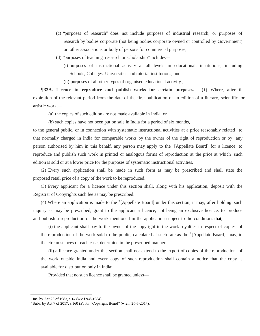- (c) "purposes of research" does not include purposes of industrial research, or purposes of research by bodies corporate (not being bodies corporate owned or controlled by Government) or other associations or body of persons for commercial purposes;
- (d) "purposes of teaching, research or scholarship"includes—
	- (i) purposes of instructional activity at all levels in educational, institutions, including Schools, Colleges, Universities and tutorial institutions; and
	- (ii) purposes of all other types of organised educational activity.]

**1 [32A. Licence to reproduce and publish works for certain purposes.**— (*1*) Where, after the expiration of the relevant period from the date of the first publication of an edition of a literary, scientific or artistic work,—

- (a) the copies of such edition are not made available in India; or
- (b) such copies have not been put on sale in India for a period of six months,

to the general public, or in connection with systematic instructional activities at a price reasonably related to that normally charged in India for comparable works by the owner of the right of reproduction or by any person authorised by him in this behalf, any person may apply to the <sup>2</sup>[Appellate Board] for a licence to reproduce and publish such work in printed or analogous forms of reproduction at the price at which such edition is sold or at a lower price for the purposes of systematic instructional activities.

(2) Every such application shall be made in such form as may be prescribed and shall state the proposed retail price of a copy of the work to be reproduced.

(3) Every applicant for a licence under this section shall, along with his application, deposit with the Registrar of Copyrights such fee as may be prescribed.

(4) Where an application is made to the  $2$ [Appellate Board] under this section, it may, after holding such inquiry as may be prescribed, grant to the applicant a licence, not being an exclusive licence, to produce and publish a reproduction of the work mentioned in the application subject to the conditions that,—

(i) the applicant shall pay to the owner of the copyright in the work royalties in respect of copies of the reproduction of the work sold to the public, calculated at such rate as the  $2$ [Appellate Board] may, in the circumstances of each case, determine in the prescribed manner;

(ii) a licence granted under this section shall not extend to the export of copies of the reproduction of the work outside India and every copy of such reproduction shall contain a notice that the copy is available for distribution only in India:

Provided that no such licence shall be granted unless—

<sup>1</sup> Ins. by Act 23 of 1983, s.14 (w.e.f 9-8-1984)

<sup>2</sup> Subs. by Act 7 of 2017, s.160 (a), for "Copyright Board" (w.e.f. 26-5-2017).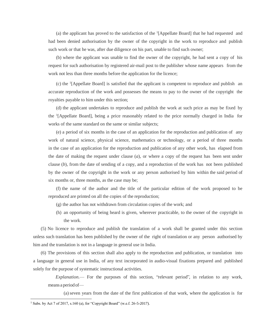(a) the applicant has proved to the satisfaction of the  ${}^{1}$ [Appellate Board] that he had requested and had been denied authorisation by the owner of the copyright in the work to reproduce and publish such work or that he was, after due diligence on his part, unable to find such owner;

(b) where the applicant was unable to find the owner of the copyright, he had sent a copy of his request for such authorisation by registered air-mail post to the publisher whose name appears from the work not less than three months before the application for the licence;

(c) the <sup>1</sup> [Appellate Board] is satisfied that the applicant is competent to reproduce and publish an accurate reproduction of the work and possesses the means to pay to the owner of the copyright the royalties payable to him under this section;

(d) the applicant undertakes to reproduce and publish the work at such price as may be fixed by the <sup>1</sup> [Appellate Board], being a price reasonably related to the price normally charged in India for works of the same standard on the same or similar subjects;

(e) a period of six months in the case of an application for the reproduction and publication of any work of natural science, physical science, mathematics or technology, or a period of three months in the case of an application for the reproduction and publication of any other work, has elapsed from the date of making the request under clause (*a*), or where a copy of the request has been sent under clause (*b*), from the date of sending of a copy, and a reproduction of the work has not been published by the owner of the copyright in the work or any person authorised by him within the said period of six months or, three months, as the case may be;

(f) the name of the author and the title of the particular edition of the work proposed to be reproduced are printed on all the copies of the reproduction;

- (g) the author has not withdrawn from circulation copies of the work; and
- (h) an opportunity of being heard is given, wherever practicable, to the owner of the copyright in the work.

(5) No licence to reproduce and publish the translation of a work shall be granted under this section unless such translation has been published by the owner of the right of translation or any person authorised by him and the translation is not in a language in general use in India.

(6) The provisions of this section shall also apply to the reproduction and publication, or translation into a language in general use in India, of any text incorporated in audio-visual fixations prepared and published solely for the purpose of systematic instructional activities.

*Explanation*.— For the purposes of this section, "relevant period", in relation to any work, means a periodof—

(a)seven years from the date of the first publication of that work, where the application is for

<sup>1</sup> Subs. by Act 7 of 2017, s.160 (a), for "Copyright Board" (w.e.f. 26-5-2017).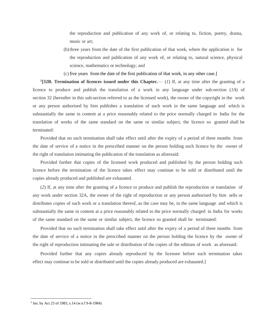the reproduction and publication of any work of, or relating to, fiction, poetry, drama, music or art;

(b)three years from the date of the first publication of that work, where the application is for the reproduction and publication of any work of, or relating to, natural science, physical science, mathematics or technology; and

(c) five years from the date of the first publication of that work, in any other case.]

**1 [32B. Termination of licences issued under this Chapter.**— (*1*) If, at any time after the granting of a licence to produce and publish the translation of a work in any language under sub-section (*1A*) of section 32 (hereafter in this sub-section referred to as the licensed work), the owner of the copyright in the work or any person authorised by him publishes a translation of such work in the same language and which is substantially the same in content at a price reasonably related to the price normally charged in India for the translation of works of the same standard on the same or similar subject, the licence so granted shall be terminated:

Provided that no such termination shall take effect until after the expiry of a period of three months from the date of service of a notice in the prescribed manner on the person holding such licence by the owner of the right of translation intimating the publication of the translation as aforesaid:

Provided further that copies of the licensed work produced and published by the person holding such licence before the termination of the licence takes effect may continue to be sold or distributed until the copies already produced and published are exhausted.

(*2*) If, at any time after the granting of a licence to produce and publish the reproduction or translation of any work under section 32A, the owner of the right of reproduction or any person authorised by him sells or distributes copies of such work or a translation thereof, as the case may be, in the same language and which is substantially the same in content at a price reasonably related to the price normally charged in India for works of the same standard on the same or similar subject, the licence so granted shall be terminated:

Provided that no such termination shall take effect until after the expiry of a period of three months from the date of service of a notice in the prescribed manner on the person holding the licence by the owner of the right of reproduction intimating the sale or distribution of the copies of the editions of work as aforesaid:

Provided further that any copies already reproduced by the licensee before such termination takes effect may continue to be sold or distributed until the copies already produced are exhausted.]

<sup>1</sup> Ins. by Act 23 of 1983, s.14 (w.e.f 9-8-1984)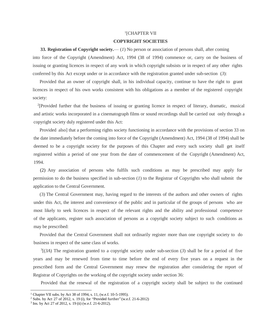## <sup>1</sup>[CHAPTER VII

## **COPYRIGHT SOCIETIES**

**33. Registration of Copyright society.**— (*1*) No person or association of persons shall, after coming into force of the Copyright (Amendment) Act, 1994 (38 of 1994) commence or, carry on the business of issuing or granting licences in respect of any work in which copyright subsists or in respect of any other rights conferred by this Act except under or in accordance with the registration granted under sub-section (*3*):

Provided that an owner of copyright shall, in his individual capacity, continue to have the right to grant licences in respect of his own works consistent with his obligations as a member of the registered copyright society:

<sup>2</sup>[Provided further that the business of issuing or granting licence in respect of literary, dramatic, musical and artistic works incorporated in a cinematograph films or sound recordings shall be carried out only through a copyright society duly registered under this Act:

Provided also] that a performing rights society functioning in accordance with the provisions of section 33 on the date immediately before the coming into force of the Copyright (Amendment) Act, 1994 (38 of 1994) shall be deemed to be a copyright society for the purposes of this Chapter and every such society shall get itself registered within a period of one year from the date of commencement of the Copyright (Amendment) Act, 1994.

(2) Any association of persons who fulfils such conditions as may be prescribed may apply for permission to do the business specified in sub-section (*1*) to the Registrar of Copyrights who shall submit the application to the Central Government.

(3) The Central Government may, having regard to the interests of the authors and other owners of rights under this Act, the interest and convenience of the public and in particular of the groups of persons who are most likely to seek licences in respect of the relevant rights and the ability and professional competence of the applicants, register such association of persons as a copyright society subject to such conditions as may be prescribed:

Provided that the Central Government shall not ordinarily register more than one copyright society to do business in respect of the same class of works.

 $3$ [(*3A*) The registration granted to a copyright society under sub-section (3) shall be for a period of five years and may be renewed from time to time before the end of every five years on a request in the prescribed form and the Central Government may renew the registration after considering the report of Registrar of Copyrights on the working of the copyright society under section 36:

Provided that the renewal of the registration of a copyright society shall be subject to the continued

<sup>1</sup> Chapter VII subs. by Act 38 of 1994, s. 11, (w.e.f. 10-5-1995).

 $2$  Subs. by Act 27 of 2012, s. 19 (i), for "Provided further" (w.e.f. 21-6-2012)

<sup>3</sup> Ins. by Act 27 of 2012, s. 19 (ii) (w.e.f. 21-6-2012).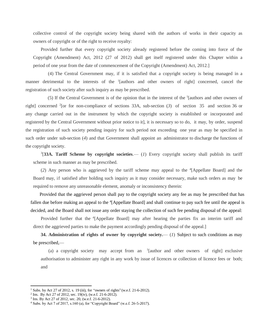collective control of the copyright society being shared with the authors of works in their capacity as owners of copyright or of the right to receive royalty:

Provided further that every copyright society already registered before the coming into force of the Copyright (Amendment) Act, 2012 (27 of 2012) shall get itself registered under this Chapter within a period of one year from the date of commencement of the Copyright (Amendment) Act, 2012.]

(4) The Central Government may, if it is satisfied that a copyright society is being managed in a manner detrimental to the interests of the <sup>1</sup>[authors and other owners of right] concerned, cancel the registration of such society after such inquiry as may be prescribed.

(5) If the Central Government is of the opinion that in the interest of the <sup>1</sup>[authors and other owners of right] concerned <sup>2</sup> [or for non-compliance of sections 33A, sub-section (*3*) of section 35 and section 36 or any change carried out in the instrument by which the copyright society is established or incorporated and registered by the Central Government without prior notice to it], it is necessary so to do, it may, by order, suspend the registration of such society pending inquiry for such period not exceeding one year as may be specified in such order under sub-section (*4*) and that Government shall appoint an administrator to discharge the functions of the copyright society.

3 [**33A. Tariff Scheme by copyright societies**.— (*1*) Every copyright society shall publish its tariff scheme in such manner as may be prescribed.

(2) Any person who is aggrieved by the tariff scheme may appeal to the <sup>4</sup>[Appellate Board] and the Board may, if satisfied after holding such inquiry as it may consider necessary, make such orders as may be required to remove any unreasonable element, anomaly or inconsistency therein:

Provided that the aggrieved person shall pay to the copyright society any fee as may be prescribed that has fallen due before making an appeal to the <sup>4</sup>[Appellate Board] and shall continue to pay such fee until the appeal is decided, and the Board shall not issue any order staying the collection of such fee pending disposal of the appeal:

Provided further that the <sup>4</sup>[Appellate Board] may after hearing the parties fix an interim tariff and direct the aggrieved parties to make the payment accordingly pending disposal of the appeal.]

**34. Administration of rights of owner by copyright society.**— (*1*) Subject to such conditions as may be prescribed,—

(a) a copyright society may accept from an 1 [author and other owners of right] exclusive authorisation to administer any right in any work by issue of licences or collection of licence fees or both; and

<sup>&</sup>lt;sup>1</sup> Subs. by Act 27 of 2012, s. 19 (iii), for "owners of rights" (w.e.f. 21-6-2012).

<sup>2</sup> Ins. By Act 27 of 2012, sec. 19(iv), (w.e.f. 21-6-2012).

<sup>3</sup> Ins. By Act 27 of 2012, sec. 20, (w.e.f. 21-6-2012).

<sup>4</sup> Subs. by Act 7 of 2017, s.160 (a), for "Copyright Board" (w.e.f. 26-5-2017).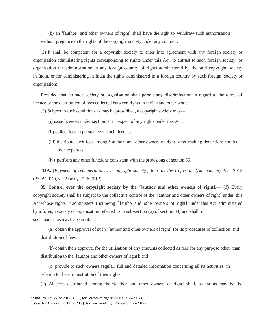(b) an <sup>1</sup>[author and other owners of right] shall have the right to withdraw such authorisation without prejudice to the rights of the copyright society under any contract.

(2) It shall be competent for a copyright society to enter into agreement with any foreign society or organisation administering rights corresponding to rights under this Act, to entrust to such foreign society or organisation the administration in any foreign country of rights administered by the said copyright society in India, or for administering in India the rights administered in a foreign country by such foreign society or organisation:

Provided that no such society or organisation shall permit any discrimination in regard to the terms of licence or the distribution of fees collected between rights in Indian and other works.

(3) Subject to such conditions as may be prescribed, a copyright society may—

- (i) issue licences under section 30 in respect of any rights under this Act;
- (ii) collect fees in pursuance of such licences;
- (iii) distribute such fees among <sup>1</sup>[author and other owners of right] after making deductions for its own expenses;
- (iv) perform any other functions consistent with the provisions of section 35.

**34A. [***Payment of remunerations by copyright society*.] *Rep. by the Copyright* (*Amendment*) *Act*, 2012 (27 *of* 2012), *s*. 22 (*w.e.f*. 21-6-2012).

**35. Control over the copyright society by the <sup>2</sup> [author and other owners of right].**— (*1*) Every copyright society shall be subject to the collective control of the  $2$ [author and other owners of right] under this Act whose rights it administers (not being <sup>2</sup> [author and other owners of right] under this Act administered by a foreign society or organisation referred to in sub-section (*2*) of section 34) and shall, in such manner as may be prescribed,—

(a) obtain the approval of such <sup>2</sup> [author and other owners of right] for its procedures of collection and distribution of fees;

(b) obtain their approval for the utilisation of any amounts collected as fees for any purpose other than distribution to the <sup>2</sup>[author and other owners of right]; and

(c) provide to such owners regular, full and detailed information concerning all its activities, in relation to the administration of their rights.

(*2*) All fees distributed among the <sup>2</sup> [author and other owners of right] shall, as far as may be, be

<sup>&</sup>lt;sup>1</sup> Subs. by Act 27 of 2012, s. 21, for "owner of rights" (w.e.f. 21-6-2012).

<sup>2</sup> Subs. by Act 27 of 2012, s. 23(a), for "owner of rights" (w.e.f. 21-6-2012).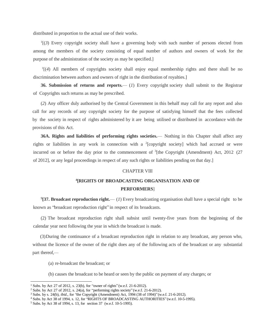distributed in proportion to the actual use of their works.

 $<sup>1</sup>[(3)$  Every copyright society shall have a governing body with such number of persons elected from</sup> among the members of the society consisting of equal number of authors and owners of work for the purpose of the administration of the society as may be specified.]

<sup>1</sup>[(4) All members of copyrights society shall enjoy equal membership rights and there shall be no discrimination between authors and owners of right in the distribution of royalties.]

**36. Submission of returns and reports.**— (*1*) Every copyright society shall submit to the Registrar of Copyrights such returns as may be prescribed.

(*2*) Any officer duly authorised by the Central Government in this behalf may call for any report and also call for any records of any copyright society for the purpose of satisfying himself that the fees collected by the society in respect of rights administered by it are being utilised or distributed in accordance with the provisions of this Act.

**36A. Rights and liabilities of performing rights societies.**— Nothing in this Chapter shall affect any rights or liabilities in any work in connection with a 2 [copyright society] which had accrued or were incurred on or before the day prior to the commencement of  ${}^{3}$ [the Copyright (Amendment) Act, 2012 (27 of 2012], or any legal proceedings in respect of any such rights or liabilities pending on that day.]

## CHAPTER VIII

# **4 [RIGHTS OF BROADCASTING ORGANISATION AND OF PERFORMERS**]

**5 [37. Broadcast reproduction right.**— (*1*) Every broadcasting organisation shall have a special right to be known as "broadcast reproduction right" in respect of its broadcasts.

(2) The broadcast reproduction right shall subsist until twenty-five years from the beginning of the calendar year next following the year in which the broadcast is made.

(3)During the continuance of a broadcast reproduction right in relation to any broadcast, any person who, without the licence of the owner of the right does any of the following acts of the broadcast or any substantial part thereof,—

(a) re-broadcast the broadcast; or

 $\overline{\phantom{a}}$ 

(b) causes the broadcast to be heard or seen by the public on payment of any charges; or

<sup>&</sup>lt;sup>1</sup> Subs. by Act 27 of 2012, s. 23(b), for "owner of rights" (w.e.f. 21-6-2012).

 $2$  Subs. by Act 27 of 2012, s. 24(a), for "performing rights society" (w.e.f. 21-6-2012).

 $3$  Subs. by s. 24(b), *ibid.*, for "the Copyright (Amendment) Act, 1994 (38 of 1994)" (w.e.f. 21-6-2012).

<sup>4</sup> Subs. by Act 38 of 1994, s. 12, for "RIGHTS OF BROADCASTING AUTHORITIES" (w.e.f. 10-5-1995).

<sup>5</sup> Subs. by Act 38 of 1994, s. 13, for section 37 (w.e.f. 10-5-1995).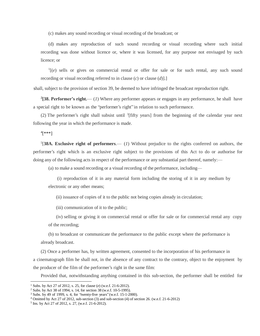(c) makes any sound recording or visual recording of the broadcast; or

(d) makes any reproduction of such sound recording or visual recording where such initial recording was done without licence or, where it was licensed, for any purpose not envisaged by such licence; or

<sup>1</sup>[(e) sells or gives on commercial rental or offer for sale or for such rental, any such sound recording or visual recording referred to in clause (*c*) or clause (*d*)].]

shall, subject to the provision of section 39, be deemed to have infringed the broadcast reproduction right.

**2 [38. Performer's right.**— (*1*) Where any performer appears or engages in any performance, he shall have a special right to be known as the "performer's right" in relation to such performance.

(2) The performer's right shall subsist until  ${}^{3}$ [fifty years] from the beginning of the calendar year next following the year in which the performance is made.

4 [\*\*\*]

5 [**38A. Exclusive right of performers**.— (*1*) Without prejudice to the rights conferred on authors, the performer's right which is an exclusive right subject to the provisions of this Act to do or authorise for doing any of the following acts in respect of the performance or any substantial part thereof, namely:—

(a) to make a sound recording or a visual recording of the performance, including—

(i) reproduction of it in any material form including the storing of it in any medium by electronic or any other means;

(ii) issuance of copies of it to the public not being copies already in circulation;

(iii) communication of it to the public;

(iv) selling or giving it on commercial rental or offer for sale or for commercial rental any copy of the recording;

(b) to broadcast or communicate the performance to the public except where the performance is already broadcast.

(2) Once a performer has, by written agreement, consented to the incorporation of his performance in

a cinematograph film he shall not, in the absence of any contract to the contrary, object to the enjoyment by the producer of the film of the performer's right in the same film:

Provided that, notwithstanding anything contained in this sub-section, the performer shall be entitled for

<sup>1</sup> Subs. by Act 27 of 2012, s. 25, for clause (*e*) (w.e.f. 21-6-2012).

<sup>2</sup> Subs. by Act 38 of 1994, s. 14, for section 38 (w.e.f. 10-5-1995).

 $3$  Subs. by 49 of 1999, s. 4, for "twenty-five years" (w.e.f. 15-1-2000).

<sup>4</sup> Omitted by Act 27 of 2012, sub-section (3) and sub-section (4) of section 26. (w.e.f. 21-6-2012)

<sup>5</sup> Ins. by Act 27 of 2012, s. 27, (w.e.f. 21-6-2012).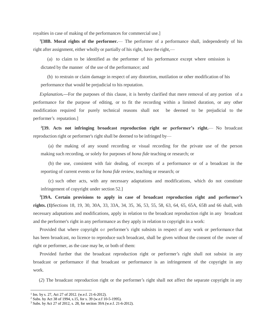royalties in case of making of the performances for commercial use.]

**1 [38B. Moral rights of the performer.**— The performer of a performance shall, independently of his right after assignment, either wholly or partially of his right, have the right,—

(a) to claim to be identified as the performer of his performance except where omission is dictated by the manner of the use of the performance; and

(b) to restrain or claim damage in respect of any distortion, mutilation or other modification of his performance that would be prejudicial to his reputation.

*Explanation.—*For the purposes of this clause, it is hereby clarified that mere removal of any portion of a performance for the purpose of editing, or to fit the recording within a limited duration, or any other modification required for purely technical reasons shall not be deemed to be prejudicial to the performer's reputation.]

**2 [39. Acts not infringing broadcast reproduction right or performer's right.**— No broadcast reproduction right or performer's right shall be deemed to be infringed by—

(a) the making of any sound recording or visual recording for the private use of the person making such recording, or solely for purposes of *bona fide* teaching or research; or

(b) the use, consistent with fair dealing, of excerpts of a performance or of a broadcast in the reporting of current events or for *bona fide* review, teaching or research; or

(c) such other acts, with any necessary adaptations and modifications, which do not constitute infringement of copyright under section 52.]

**3 [39A. Certain provisions to apply in case of broadcast reproduction right and performer's rights. (1)**Sections 18, 19, 30, 30A, 33, 33A, 34, 35, 36, 53, 55, 58, 63, 64, 65, 65A, 65B and 66 shall, with necessary adaptations and modifications, apply in relation to the broadcast reproduction right in any broadcast and the performer's right in any performance as they apply in relation to copyright in a work:

Provided that where copyright or performer's right subsists in respect of any work or performance that has been broadcast, no licence to reproduce such broadcast, shall be given without the consent of the owner of right or performer, as the case may be, or both of them:

Provided further that the broadcast reproduction right or performer's right shall not subsist in any broadcast or performance if that broadcast or performance is an infringement of the copyright in any work.

(*2*) The broadcast reproduction right or the performer's right shall not affect the separate copyright in any

<sup>&</sup>lt;sup>1</sup> Ins. by s. 27, Act 27 of 2012. (w.e.f. 21-6-2012).

<sup>2</sup> Subs. by Act 38 of 1994, s.15, for s. 39 (w.e.f 10-5-1995).

<sup>3</sup> Subs. by Act 27 of 2012, s. 28, for section 39A (w.e.f. 21-6-2012).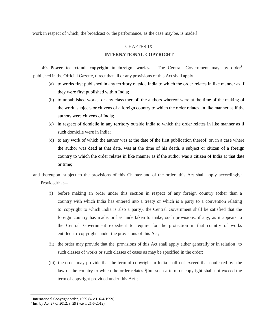work in respect of which, the broadcast or the performance, as the case may be, is made.]

# CHAPTER IX **INTERNATIONAL COPYRIGHT**

**40. Power to extend copyright to foreign works.— The Central Government may, by order<sup>1</sup>** published in the Official Gazette, direct that all or any provisions of this Act shall apply—

- (a) to works first published in any territory outside India to which the order relates in like manner as if they were first published within India;
- (b) to unpublished works, or any class thereof, the authors whereof were at the time of the making of the work, subjects or citizens of a foreign country to which the order relates, in like manner as if the authors were citizens of India;
- (c) in respect of domicile in any territory outside India to which the order relates in like manner as if such domicile were in India;
- (d) to any work of which the author was at the date of the first publication thereof, or, in a case where the author was dead at that date, was at the time of his death, a subject or citizen of a foreign country to which the order relates in like manner as if the author was a citizen of India at that date or time;

and thereupon, subject to the provisions of this Chapter and of the order, this Act shall apply accordingly: Provided that—

- (i) before making an order under this section in respect of any foreign country (other than a country with which India has entered into a treaty or which is a party to a convention relating to copyright to which India is also a party), the Central Government shall be satisfied that the foreign country has made, or has undertaken to make, such provisions, if any, as it appears to the Central Government expedient to require for the protection in that country of works entitled to copyright under the provisions of this Act;
- (ii) the order may provide that the provisions of this Act shall apply either generally or in relation to such classes of works or such classes of cases as may be specified in the order;
- (iii) the order may provide that the term of copyright in India shall not exceed that conferred by the law of the country to which the order relates <sup>2</sup>[but such a term or copyright shall not exceed the term of copyright provided under this Act];

<sup>&</sup>lt;sup>1</sup> International Copyright order, 1999 (w.e.f. 6-4-1999)

<sup>2</sup> Ins. by Act 27 of 2012, s. 29 (w.e.f. 21-6-2012).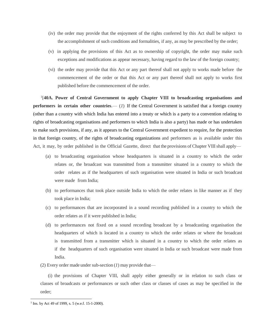- (iv) the order may provide that the enjoyment of the rights conferred by this Act shall be subject to the accomplishment of such conditions and formalities, if any, as may be prescribed by the order;
- (v) in applying the provisions of this Act as to ownership of copyright, the order may make such exceptions and modifications as appear necessary, having regard to the law of the foreign country;
- (vi) the order may provide that this Act or any part thereof shall not apply to works made before the commencement of the order or that this Act or any part thereof shall not apply to works first published before the commencement of the order.

1 [**40A. Power of Central Government to apply Chapter VIII to broadcasting organisations and performers in certain other countries**.— (*1*) If the Central Government is satisfied that a foreign country (other than a country with which India has entered into a treaty or which is a party to a convention relating to rights of broadcasting organisations and performers to which India is also a party) has made or has undertaken to make such provisions, if any, as it appears to the Central Government expedient to require, for the protection in that foreign country, of the rights of broadcasting organizations and performers as is available under this Act, it may, by order published in the Official Gazette, direct that the provisions of Chapter VIII shall apply—

- (a) to broadcasting organisation whose headquarters is situated in a country to which the order relates or, the broadcast was transmitted from a transmitter situated in a country to which the order relates as if the headquarters of such organisation were situated in India or such broadcast were made from India;
- (b) to performances that took place outside India to which the order relates in like manner as if they took place in India;
- (c) to performances that are incorporated in a sound recording published in a country to which the order relates as if it were published in India;
- (d) to performances not fixed on a sound recording broadcast by a broadcasting organisation the headquarters of which is located in a country to which the order relates or where the broadcast is transmitted from a transmitter which is situated in a country to which the order relates as if the headquarters of such organisation were situated in India or such broadcast were made from India.
- (2) Every order made under sub-section (*1*) may provide that—

(i) the provisions of Chapter VIII, shall apply either generally or in relation to such class or classes of broadcasts or performances or such other class or classes of cases as may be specified in the order;

<sup>&</sup>lt;sup>1</sup> Ins. by Act 49 of 1999, s. 5 (w.e.f. 15-1-2000).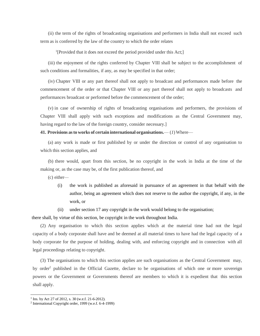(ii) the term of the rights of broadcasting organisations and performers in India shall not exceed such term as is conferred by the law of the country to which the order relates

<sup>1</sup>[Provided that it does not exceed the period provided under this Act;]

(iii) the enjoyment of the rights conferred by Chapter VIII shall be subject to the accomplishment of such conditions and formalities, if any, as may be specified in that order;

(iv) Chapter VIII or any part thereof shall not apply to broadcast and performances made before the commencement of the order or that Chapter VIII or any part thereof shall not apply to broadcasts and performances broadcast or performed before the commencement of the order;

(v) in case of ownership of rights of broadcasting organisations and performers, the provisions of Chapter VIII shall apply with such exceptions and modifications as the Central Government may, having regard to the law of the foreign country, consider necessary.]

**41. Provisions asto works of certain international organisations.**— (*1*)Where—

(a) any work is made or first published by or under the direction or control of any organisation to which this section applies, and

(b) there would, apart from this section, be no copyright in the work in India at the time of the making or, as the case may be, of the first publication thereof, and

(c) either—

- (i) the work is published as aforesaid in pursuance of an agreement in that behalf with the author, being an agreement which does not reserve to the author the copyright, if any, in the work, or
- (ii) under section 17 any copyright in the work would belong to the organisation;

there shall, by virtue of this section, be copyright in the work throughout India.

(2) Any organisation to which this section applies which at the material time had not the legal capacity of a body corporate shall have and be deemed at all material times to have had the legal capacity of a body corporate for the purpose of holding, dealing with, and enforcing copyright and in connection with all legal proceedings relating to copyright.

(3) The organisations to which this section applies are such organisations as the Central Government may, by order<sup>2</sup> published in the Official Gazette, declare to be organisations of which one or more sovereign powers or the Government or Governments thereof are members to which it is expedient that this section shall apply.

<sup>&</sup>lt;sup>1</sup> Ins. by Act 27 of 2012, s. 30 (w.e.f. 21-6-2012).

<sup>2</sup> International Copyright order, 1999 (w.e.f. 6-4-1999)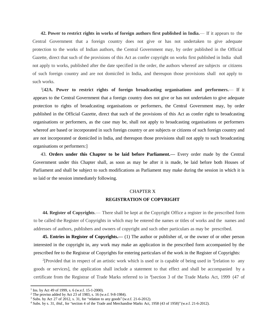**42. Power to restrict rights in works of foreign authors first published in India.**— If it appears to the Central Government that a foreign country does not give or has not undertaken to give adequate protection to the works of Indian authors, the Central Government may, by order published in the Official Gazette, direct that such of the provisions of this Act as confer copyright on works first published in India shall not apply to works, published after the date specified in the order, the authors whereof are subjects or citizens of such foreign country and are not domiciled in India, and thereupon those provisions shall not apply to such works.

1 [**42A. Power to restrict rights of foreign broadcasting organisations and performers.**— If it appears to the Central Government that a foreign country does not give or has not undertaken to give adequate protection to rights of broadcasting organisations or performers, the Central Government may, by order published in the Official Gazette, direct that such of the provisions of this Act as confer right to broadcasting organisations or performers, as the case may be, shall not apply to broadcasting organisations or performers whereof are based or incorporated in such foreign country or are subjects or citizens of such foreign country and are not incorporated or domiciled in India, and thereupon those provisions shall not apply to such broadcasting organisations or performers:]

43. **Orders under this Chapter to be laid before Parliament.—** Every order made by the Central Government under this Chapter shall, as soon as may be after it is made, be laid before both Houses of Parliament and shall be subject to such modifications as Parliament may make during the session in which it is so laid or the session immediately following.

## CHAPTER X

## **REGISTRATION OF COPYRIGHT**

**44. Register of Copyrights**.— There shall be kept at the Copyright Office a register in the prescribed form to be called the Register of Copyrights in which may be entered the names or titles of works and the names and addresses of authors, publishers and owners of copyright and such other particulars as may be prescribed.

**45. Entries in Register of Copyrights.—** (1) The author or publisher of, or the owner of or other person interested in the copyright in, any work may make an application in the prescribed form accompanied by the prescribed fee to the Registrar of Copyrights for entering particulars of the work in the Register of Copyrights:

<sup>2</sup>[Provided that in respect of an artistic work which is used or is capable of being used in  ${}^{3}$ [relation to any goods or services], the application shall include a statement to that effect and shall be accompanied by a certificate from the Registrar of Trade Marks referred to in <sup>4</sup>[section 3 of the Trade Marks Act, 1999 (47 of

<sup>&</sup>lt;sup>1</sup> Ins. by Act 49 of 1999, s. 6 (w.e.f. 15-1-2000).

 $2$  The proviso added by Act 23 of 1983, s. 16 (w.e.f. 9-8-1984).

<sup>3</sup> Subs. by Act 27 of 2012, s. 31, for "relation to any goods" (w.e.f. 21-6-2012).

<sup>4</sup> Subs. by s. 31, *ibid*., for "section 4 of the Trade and Merchandise Marks Act, 1958 (43 of 1958)"(w.e.f. 21-6-2012).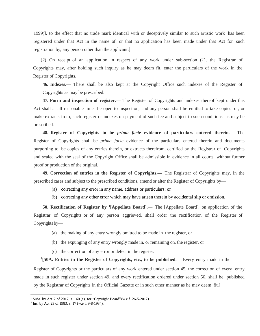1999)], to the effect that no trade mark identical with or deceptively similar to such artistic work has been registered under that Act in the name of, or that no application has been made under that Act for such registration by, any person other than the applicant.]

(*2*) On receipt of an application in respect of any work under sub-section (*1*), the Registrar of Copyrights may, after holding such inquiry as he may deem fit, enter the particulars of the work in the Register of Copyrights.

**46. Indexes.**— There shall be also kept at the Copyright Office such indexes of the Register of Copyrights as may be prescribed.

**47. Form and inspection of register.**— The Register of Copyrights and indexes thereof kept under this Act shall at all reasonable times be open to inspection, and any person shall be entitled to take copies of, or make extracts from, such register or indexes on payment of such fee and subject to such conditions as may be prescribed.

**48. Register of Copyrights to be** *prima facie* **evidence of particulars entered therein.**— The Register of Copyrights shall be *prima facie* evidence of the particulars entered therein and documents purporting to be copies of any entries therein, or extracts therefrom, certified by the Registrar of Copyrights and sealed with the seal of the Copyright Office shall be admissible in evidence in all courts without further proof or production of the original.

**49. Correction of entries in the Register of Copyrights**.**—** The Registrar of Copyrights may, in the prescribed cases and subject to the prescribed conditions, amend or alter the Register of Copyrights by—

- (a) correcting any error in any name, address or particulars; or
- (b) correcting any other error which may have arisen therein by accidental slip or omission.

**50. Rectification of Register by <sup>1</sup> [Appellate Board].**— The [Appellate Board], on application of the Registrar of Copyrights or of any person aggrieved, shall order the rectification of the Register of Copyrights by—

- (a) the making of any entry wrongly omitted to be made in the register, or
- (b) the expunging of any entry wrongly made in, or remaining on, the register, or
- (c) the correction of any error or defect in the register.

**2 [50A. Entries in the Register of Copyrights, etc., to be published.**— Every entry made in the Register of Copyrights or the particulars of any work entered under section 45, the correction of every entry made in such register under section 49, and every rectification ordered under section 50, shall be published by the Registrar of Copyrights in the Official Gazette or in such other manner as he may deem fit.]

<sup>&</sup>lt;sup>1</sup> Subs. by Act 7 of 2017, s. 160 (a), for "Copyright Board" (w.e.f. 26-5-2017).

<sup>2</sup> Ins. by Act 23 of 1983, s. 17 (w.e.f. 9-8-1984).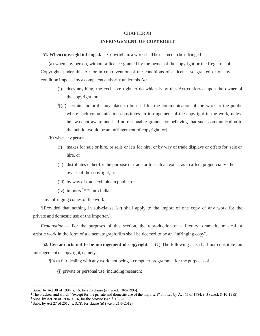## CHAPTER XI

## **INFRINGEMENT OF COPYRIGHT**

**51. When copyright infringed.**— Copyright in a work shall be deemed to be infringed—

(a) when any person, without a licence granted by the owner of the copyright or the Registrar of Copyrights under this Act or in contravention of the conditions of a licence so granted or of any condition imposed by a competent authority under this Act—

- (i) does anything, the exclusive right to do which is by this Act conferred upon the owner of the copyright, or
- $\Gamma$ <sup>1</sup>[(*ii*) permits for profit any place to be used for the communication of the work to the public where such communication constitutes an infringement of the copyright in the work, unless he was not aware and had no reasonable ground for believing that such communication to the public would be an infringement of copyright; or]
- (b) when any person—
	- (i) makes for sale or hire, or sells or lets for hire, or by way of trade displays or offers for sale or hire, or
	- (ii) distributes either for the purpose of trade or to such an extent as to affect prejudicially the owner of the copyright, or
	- (iii) by way of trade exhibits in public, or
	- (iv) imports  $2***$  into India,

any infringing copies of the work:

3 [Provided that nothing in sub-clause (*iv*) shall apply to the import of one copy of any work for the private and domestic use of the importer.]

*Explanation.*— For the purposes of this section, the reproduction of a literary, dramatic, musical or artistic work in the form of a cinematograph film shall be deemed to be an "infringing copy".

**52. Certain acts not to be infringement of copyright.**— (*1*) The following acts shall not constitute an infringement of copyright, namely,—

 $^{4}$ [(*a*) a fair dealing with any work, not being a computer programme, for the purposes of—

(i) private or personal use, including research;

<sup>1</sup> Subs. by Act 38 of 1994, s. 16, for sub-clause (*ii*) (w.e.f. 10-5-1995).

<sup>2</sup> The brackets and words "(except for the private and domestic use of the importer)" omitted by Act 65 of 1984, s. 3 (w.e.f. 8-10-1985).

<sup>3</sup> Subs. by Act 38 of 1994, s. 16, for the proviso (w.e.f. 10-5-1995).

<sup>4</sup> Subs. by Act 27 of 2012, s. 32(i), for clause (*a*) (w.e.f. 21-6-2012).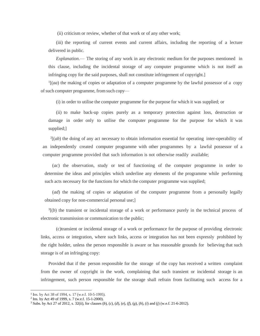(ii) criticism or review, whether of that work or of any other work;

(iii) the reporting of current events and current affairs, including the reporting of a lecture delivered in public.

*Explanation*.— The storing of any work in any electronic medium for the purposes mentioned in this clause, including the incidental storage of any computer programme which is not itself an infringing copy for the said purposes, shall not constitute infringement of copyright.]

<sup>1</sup>[(*aa*) the making of copies or adaptation of a computer programme by the lawful possessor of a copy of such computer programme, fromsuch copy—

(i) in order to utilise the computer programme for the purpose for which it was supplied; or

(ii) to make back-up copies purely as a temporary protection against loss, destruction or damage in order only to utilise the computer programme for the purpose for which it was supplied;]

 $2[(ab)$  the doing of any act necessary to obtain information essential for operating inter-operability of an independently created computer programme with other programmes by a lawful possessor of a computer programme provided that such information is not otherwise readily available;

(*ac*) the observation, study or test of functioning of the computer programme in order to determine the ideas and principles which underline any elements of the programme while performing such acts necessary for the functions for which the computer programme was supplied;

(*ad*) the making of copies or adaptation of the computer programme from a personally legally obtained copy for non-commercial personal use;]

 $3(1b)$  the transient or incidental storage of a work or performance purely in the technical process of electronic transmission or communication to the public;

(c)transient or incidental storage of a work or performance for the purpose of providing electronic links, access or integration, where such links, access or integration has not been expressly prohibited by the right holder, unless the person responsible is aware or has reasonable grounds for believing that such storage is of an infringing copy:

Provided that if the person responsible for the storage of the copy has received a written complaint from the owner of copyright in the work, complaining that such transient or incidental storage is an infringement, such person responsible for the storage shall refrain from facilitating such access for a

<sup>&</sup>lt;sup>1</sup> Ins. by Act 38 of 1994, s. 17 (w.e.f. 10-5-1995).

<sup>2</sup> Ins. by Act 49 of 1999, s. 7 (w.e.f. 15-1-2000).

<sup>3</sup> Subs. by Act 27 of 2012, s. 32(ii), for clauses (*b*), (*c*), (*d*), (*e*), (*f*), (*g*), (*h*), (*i*) and (*j*) (w.e.f. 21-6-2012).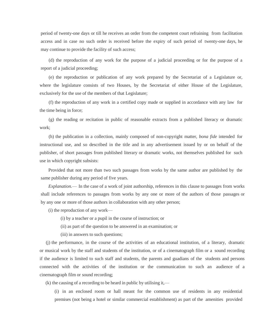period of twenty-one days or till he receives an order from the competent court refraining from facilitation access and in case no such order is received before the expiry of such period of twenty-one days, he may continue to provide the facility of such access;

(d) the reproduction of any work for the purpose of a judicial proceeding or for the purpose of a report of a judicial proceeding;

(e) the reproduction or publication of any work prepared by the Secretariat of a Legislature or, where the legislature consists of two Houses, by the Secretariat of either House of the Legislature, exclusively for the use of the members of that Legislature;

(f) the reproduction of any work in a certified copy made or supplied in accordance with any law for the time being in force;

(g) the reading or recitation in public of reasonable extracts from a published literacy or dramatic work;

(h) the publication in a collection, mainly composed of non-copyright matter, *bona fide* intended for instructional use, and so described in the title and in any advertisement issued by or on behalf of the publisher, of short passages from published literary or dramatic works, not themselves published for such use in which copyright subsists:

Provided that not more than two such passages from works by the same author are published by the same publisher during any period of five years.

*Explanation.*— In the case of a work of joint authorship, references in this clause to passages from works shall include references to passages from works by any one or more of the authors of those passages or by any one or more of those authors in collaboration with any other person;

(i) the reproduction of any work—

(i) by a teacher or a pupil in the course of instruction; or

(ii) as part of the question to be answered in an examination; or

(iii) in answers to such questions;

(j) the performance, in the course of the activities of an educational institution, of a literary, dramatic or musical work by the staff and students of the institution, or of a cinematograph film or a sound recording if the audience is limited to such staff and students, the parents and guadians of the students and persons connected with the activities of the institution or the communication to such an audience of a cinematograph film or sound recording;

(k) the causing of a recording to be heard in public by utilising it,—

(i) in an enclosed room or hall meant for the common use of residents in any residential premises (not being a hotel or similar commercial establishment) as part of the amenities provided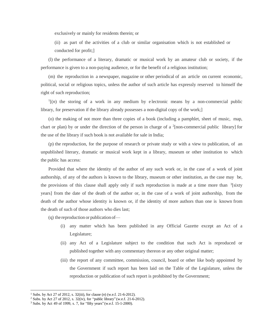exclusively or mainly for residents therein; or

(ii) as part of the activities of a club or similar organisation which is not established or conducted for profit;]

(l) the performance of a literary, dramatic or musical work by an amateur club or society, if the performance is given to a non-paying audience, or for the benefit of a religious institution;

(m) the reproduction in a newspaper, magazine or other periodical of an article on current economic, political, social or religious topics, unless the author of such article has expressly reserved to himself the right of such reproduction;

 $<sup>1</sup>[(n)$  the storing of a work in any medium by electronic means by a non-commercial public</sup> library, for preservation if the library already possesses a non-digital copy of the work;]

(o) the making of not more than three copies of a book (including a pamphlet, sheet of music, map, chart or plan) by or under the direction of the person in charge of a 2 [non-commercial public library] for the use of the library if such book is not available for sale in India;

(p) the reproduction, for the purpose of research or private study or with a view to publication, of an unpublished literary, dramatic or musical work kept in a library, museum or other institution to which the public has access:

Provided that where the identity of the author of any such work or, in the case of a work of joint authorship, of any of the authors is known to the library, museum or other institution, as the case may be, the provisions of this clause shall apply only if such reproduction is made at a time more than  $\frac{3}{5}$ [sixty years] from the date of the death of the author or, in the case of a work of joint authorship, from the death of the author whose identity is known or, if the identity of more authors than one is known from the death of such of those authors who dies last;

(q) the reproduction or publication of—

- (i) any matter which has been published in any Official Gazette except an Act of a Legislature;
- (ii) any Act of a Legislature subject to the condition that such Act is reproduced or published together with any commentary thereon or any other original matter;
- (iii) the report of any committee, commission, council, board or other like body appointed by the Government if such report has been laid on the Table of the Legislature, unless the reproduction or publication of such report is prohibited by the Government;

<sup>1</sup> Subs. by Act 27 of 2012, s. 32(iii), for clause (*n*) (w.e.f. 21-6-2012).

<sup>2</sup> Subs. by Act 27 of 2012, s. 32(iv), for "public library" (w.e.f. 21-6-2012).

<sup>3</sup> Subs. by Act 49 of 1999, s. 7, for "fifty years" (w.e.f. 15-1-2000).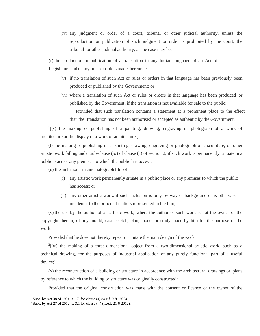(iv) any judgment or order of a court, tribunal or other judicial authority, unless the reproduction or publication of such judgment or order is prohibited by the court, the tribunal or other judicial authority, as the case may be;

(r) the production or publication of a translation in any Indian language of an Act of a Legislature and of any rules or orders made thereunder—

- (v) if no translation of such Act or rules or orders in that language has been previously been produced or published by the Government; or
- (vi) where a translation of such Act or rules or orders in that language has been produced or published by the Government, if the translation is not available for sale to the public:

Provided that such translation contains a statement at a prominent place to the effect that the translation has not been authorised or accepted as authentic by the Government;

 $\frac{1}{s}$  (*s*) the making or publishing of a painting, drawing, engraving or photograph of a work of architecture or the display of a work of architecture;]

(t) the making or publishing of a painting, drawing, engraving or photograph of a sculpture, or other artistic work falling under sub-clause (*iii*) of clause (*c*) of section 2, if such work is permanently situate in a public place or any premises to which the public has access;

(u) the inclusion in a cinematograph filmof—

- (i) any artistic work permanently situate in a public place or any premises to which the public has access; or
- (ii) any other artistic work, if such inclusion is only by way of background or is otherwise incidental to the principal matters represented in the film;

(v) the use by the author of an artistic work, where the author of such work is not the owner of the copyright therein, of any mould, cast, sketch, plan, model or study made by him for the purpose of the work:

Provided that he does not thereby repeat or imitate the main design of the work;

 $2\mu(w)$  the making of a three-dimensional object from a two-dimensional artistic work, such as a technical drawing, for the purposes of industrial application of any purely functional part of a useful device;]

(x) the reconstruction of a building or structure in accordance with the architectural drawings or plans by reference to which the building or structure was originally constructed:

Provided that the original construction was made with the consent or licence of the owner of the

<sup>1</sup> Subs. by Act 38 of 1994, s. 17, for clause (*s*) (w.e.f. 9-8-1995).

<sup>2</sup> Subs. by Act 27 of 2012, s. 32, for clause (*w*) (w.e.f. 21-6-2012).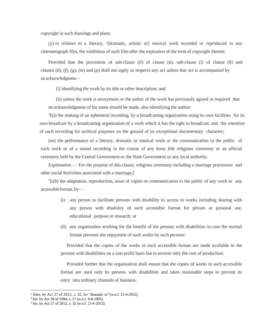copyright in such drawings and plans;

(y) in relation to a literary, <sup>1</sup>[dramatic, artistic or] musical work recorded or reproduced in any cinematograph film, the exhibition of such film after the expiration of the term of copyright therein:

Provided that the provisions of sub-clause (*ii*) of clause (*a*), sub-clause (*i*) of clause (*b*) and clauses  $(d)$ ,  $(f)$ ,  $(g)$ ,  $(m)$  and  $(p)$  shall not apply as respects any act unless that act is accompanied by an acknowledgment—

(i) identifying the work by its title or other description; and

(ii) unless the work is anonymous or the author of the work has previously agreed or required that no acknowledgment of his name should be made, also identifying the author;

 $2[(z)]$  the making of an ephemeral recording, by a broadcasting organisation using its own facilities for its own broadcast by a broadcasting organisation of a work which it has the right to broadcast; and the retention of such recording for archival purposes on the ground of its exceptional documentary character;

(*za*) the performance of a literary, dramatic or musical work or the communication to the public of such work or of a sound recording in the course of any *bona fide* religious ceremony or an official ceremony held by the Central Government or the State Government or any local authority.

*Explanation*.— For the purpose of this clause, religious ceremony including a marriage procession and other social festivities associated with a marriage;]

 $3\cdot\frac{3}{2}(zb)$  the adaptation, reproduction, issue of copies or communication to the public of any work in any accessibleformat,by—

- (i) any person to facilitate persons with disability to access to works including sharing with any person with disability of such accessible format for private or personal use, educational purpose or research; or
- (ii) any organisation working for the benefit of the persons with disabilities in case the normal format prevents the enjoyment of such works by such persons:

Provided that the copies of the works in such accessible format are made available to the persons with disabilities on a non-profit basis but to recover only the cost of production:

Provided further that the organisation shall ensure that the copies of works in such accessible format are used only by persons with disabilities and takes reasonable steps to prevent its entry into ordinary channels of business.

<sup>&</sup>lt;sup>1</sup> Subs. by Act 27 of 2012, s. 32, for "dramatic or" (w.e.f. 21-6-2012).

<sup>2</sup> Ins. by Act 38 of 1994, s. 17 (w.e.f. 9-8-1995).

<sup>3</sup> Ins. by Act 27 of 2012, s. 32 (w.e.f. 21-6-2012).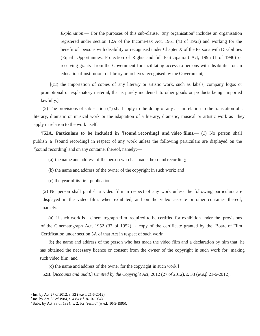*Explanation*.— For the purposes of this sub-clause, "any organisation" includes an organisation registered under section 12A of the Income-tax Act, 1961 (43 of 1961) and working for the benefit of persons with disability or recognised under Chapter X of the Persons with Disabilities (Equal Opportunities, Protection of Rights and full Participation) Act, 1995 (1 of 1996) or receiving grants from the Government for facilitating access to persons with disabilities or an educational institution or library or archives recognised by the Government;

 $\Gamma$ <sup>1</sup>[(*zc*) the importation of copies of any literary or artistic work, such as labels, company logos or promotional or explanatory material, that is purely incidental to other goods or products being imported lawfully.]

(2) The provisions of sub-section (*1*) shall apply to the doing of any act in relation to the translation of a literary, dramatic or musical work or the adaptation of a literary, dramatic, musical or artistic work as they apply in relation to the work itself.

**2 [52A. Particulars to be included in <sup>3</sup> [sound recording] and video films.**— (*1*) No person shall publish a <sup>3</sup>[sound recording] in respect of any work unless the following particulars are displayed on the <sup>3</sup>[sound recording] and on any container thereof, namely:—

(a) the name and address of the person who has made the sound recording;

(b) the name and address of the owner of the copyright in such work; and

(c) the year of its first publication.

(2) No person shall publish a video film in respect of any work unless the following particulars are displayed in the video film, when exhibited, and on the video cassette or other container thereof, namely:—

(a) if such work is a cinematograph film required to be certified for exhibition under the provisions of the Cinematograph Act, 1952 (37 of 1952), a copy of the certificate granted by the Board of Film Certification under section 5A of that Act in respect of such work;

(b) the name and address of the person who has made the video film and a declaration by him that he has obtained the necessary licence or consent from the owner of the copyright in such work for making such video film; and

(c) the name and address of the owner for the copyright in such work.]

**52B.** [*Accounts and audit***.**] *Omitted by the Copyright Act,* 2012 (27 *of* 2012), *s.* 33 (*w.e.f.* 21-6-2012).

<sup>&</sup>lt;sup>1</sup> Ins. by Act 27 of 2012, s. 32 (w.e.f. 21-6-2012).

<sup>2</sup> Ins. by Act 65 of 1984, s. 4 (w.e.f. 8-10-1984).

<sup>3</sup> Subs. by Act 38 of 1994, s. 2, for "record" (w.e.f. 10-5-1995).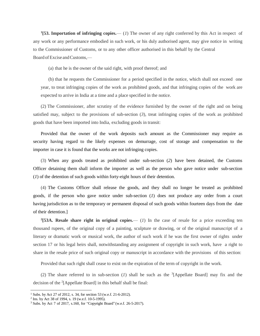<sup>1</sup>(53. **Importation of infringing copies.**— (*1*) The owner of any right conferred by this Act in respect of any work or any performance embodied in such work, or his duly authorised agent, may give notice in writing to the Commissioner of Customs, or to any other officer authorised in this behalf by the Central Board of Excise and Customs,—

(a) that he is the owner of the said right, with proof thereof; and

(b) that he requests the Commissioner for a period specified in the notice, which shall not exceed one year, to treat infringing copies of the work as prohibited goods, and that infringing copies of the work are expected to arrive in India at a time and a place specified in the notice.

(2) The Commissioner, after scrutiny of the evidence furnished by the owner of the right and on being satisfied may, subject to the provisions of sub-section (*3*), treat infringing copies of the work as prohibited goods that have been imported into India, excluding goods in transit:

Provided that the owner of the work deposits such amount as the Commissioner may require as security having regard to the likely expenses on demurrage, cost of storage and compensation to the importer in case it is found that the works are not infringing copies.

(3) When any goods treated as prohibited under sub-section (*2*) have been detained, the Customs Officer detaining them shall inform the importer as well as the person who gave notice under sub-section (*1*) of the detention of such goods within forty-eight hours of their detention.

(4) The Customs Officer shall release the goods, and they shall no longer be treated as prohibited goods, if the person who gave notice under sub-section (*1*) does not produce any order from a court having jurisdiction as to the temporary or permanent disposal of such goods within fourteen days from the date of their detention.]

**2 [53A. Resale share right in original copies.**— (*1*) In the case of resale for a price exceeding ten thousand rupees, of the original copy of a painting, sculpture or drawing, or of the original manuscript of a literary or dramatic work or musical work, the author of such work if he was the first owner of rights under section 17 or his legal heirs shall, notwithstanding any assignment of copyright in such work, have a right to share in the resale price of such original copy or manuscript in accordance with the provisions of this section:

Provided that such right shall cease to exist on the expiration of the term of copyright in the work.

(2) The share referred to in sub-section (*1*) shall be such as the  ${}^{3}$ [Appellate Board] may fix and the decision of the <sup>2</sup> [Appellate Board] in this behalf shall be final:

<sup>1</sup> Subs. by Act 27 of 2012, s. 34, for section 53 (w.e.f. 21-6-2012).

<sup>2</sup> Ins. by Act 38 of 1994, s. 19 (w.e.f. 10-5-1995).

<sup>3</sup> Subs. by Act 7 of 2017, s.160, for "Copyright Board" (w.e.f. 26-5-2017).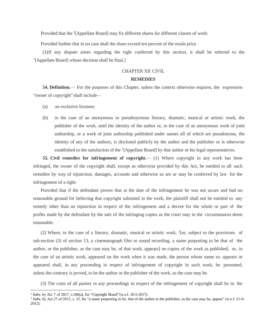Provided that the <sup>2</sup>[Appellate Board] may fix different shares for different classes of work:

Provided further that in no case shall the share exceed ten percent of the resale price.

(3)If any dispute arises regarding the right conferred by this section, it shall be referred to the <sup>1</sup>[Appellate Board] whose decision shall be final.]

## CHAPTER XII CIVIL

## **REMEDIES**

**54. Definition.**— For the purposes of this Chapter, unless the context otherwise requires, the expression "owner of copyright"shall include—

- (a) an exclusive licensee;
- (b) in the case of an anonymous or pseudonymous literary, dramatic, musical or artistic work, the publisher of the work, until the identity of the author or, in the case of an anonymous work of joint authorship, or a work of joint authorship published under names all of which are pseudonyms, the identity of any of the authors, is disclosed publicly by the author and the publisher or is otherwise established to the satisfaction of the <sup>1</sup>[Appellate Board] by that author or his legal representatives.

**55. Civil remedies for infringement of copyright.**— (*1*) Where copyright in any work has been infringed, the owner of the copyright shall, except as otherwise provided by this Act, be entitled to all such remedies by way of injunction, damages, accounts and otherwise as are or may be conferred by law for the infringement of a right:

Provided that if the defendant proves that at the date of the infringement he was not aware and had no reasonable ground for believing that copyright subsisted in the work, the plaintiff shall not be entitled to any remedy other than an injunction in respect of the infringement and a decree for the whole or part of the profits made by the defendant by the sale of the infringing copies as the court may in the circumstances deem reasonable.

(2) Where, in the case of a literary, dramatic, musical or artistic work,  $^{2}$ [or, subject to the provisions of sub-section (*3*) of section 13, a cinematograph film or sound recording, a name purporting to be that of the author, or the publisher, as the case may be, of that work, appears] on copies of the work as published, or, in the case of an artistic work, appeared on the work when it was made, the person whose name so appears or appeared shall, in any proceeding in respect of infringement of copyright in such work, be presumed, unless the contrary is proved, to be the author or the publisher of the work, as the case may be.

(3) The costs of all parties in any proceedings in respect of the infringement of copyright shall be in the

<sup>&</sup>lt;sup>1</sup> Subs. by Act 7 of 2017, s.160(a), for "Copyright Board" (w.e.f. 26-5-2017).

<sup>&</sup>lt;sup>2</sup> Subs. by Act 27 of 2012, s. 35, for "a name purporting to be, that of the author or the publisher, as the case may be, appear" (w.e.f. 21-6-2012).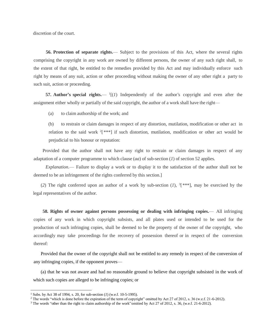discretion of the court.

**56. Protection of separate rights.**— Subject to the provisions of this Act, where the several rights comprising the copyright in any work are owned by different persons, the owner of any such right shall, to the extent of that right, be entitled to the remedies provided by this Act and may individually enforce such right by means of any suit, action or other proceeding without making the owner of any other right a party to such suit, action or proceeding.

**57. Author's special rights.**—  $\frac{1}{l}(1)$  Independently of the author's copyright and even after the assignment either wholly or partially of the said copyright, the author of a work shall have the right—

(a) to claim authorship of the work; and

(b) to restrain or claim damages in respect of any distortion, mutilation, modification or other act in relation to the said work <sup>2</sup>[\*\*\*] if such distortion, mutilation, modification or other act would be prejudicial to his honour or reputation:

Provided that the author shall not have any right to restrain or claim damages in respect of any adaptation of a computer programme to which clause (*aa*) of sub-section (*1*) of section 52 applies.

*Explanation*.— Failure to display a work or to display it to the satisfaction of the author shall not be deemed to be an infringement of the rights conferred by this section.]

(2) The right conferred upon an author of a work by sub-section  $(I)$ ,  $\frac{3}{7}$  \*\*\*], may be exercised by the legal representatives of the author.

**58. Rights of owner against persons possessing or dealing with infringing copies.**— All infringing copies of any work in which copyright subsists, and all plates used or intended to be used for the production of such infringing copies, shall be deemed to be the property of the owner of the copyright, who accordingly may take proceedings for the recovery of possession thereof or in respect of the conversion thereof:

Provided that the owner of the copyright shall not be entitled to any remedy in respect of the conversion of any infringing copies, if the opponent proves—

(a) that he was not aware and had no reasonable ground to believe that copyright subsisted in the work of which such copies are alleged to be infringing copies; or

<sup>1</sup> Subs. by Act 38 of 1994, s. 20, for sub-section (*1*) (w.e.f. 10-5-1995).

<sup>&</sup>lt;sup>2</sup> The words "which is done before the expiration of the term of copyright" omitted by Act 27 of 2012, s. 36 (w.e.f. 21-6-2012).

<sup>3</sup> The words "other than the right to claim authorship of the work"omitted by Act 27 of 2012, s. 36, (w.e.f. 21-6-2012).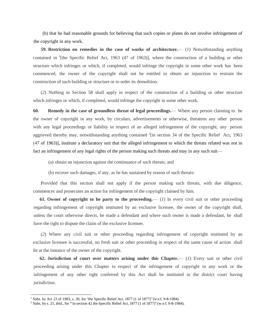(b) that he had reasonable grounds for believing that such copies or plates do not involve infringement of the copyright in any work.

**59. Restriction on remedies in the case of works of architecture.**— (*1*) Notwithstanding anything contained in <sup>1</sup>[the Specific Relief Act, 1963 (47 of 1963)], where the construction of a building or other structure which infringes or which, if completed, would infringe the copyright in some other work has been commenced, the owner of the copyright shall not be entitled to obtain an injunction to restrain the construction of such building or structure or to order its demolition.

(*2*) Nothing in Section 58 shall apply in respect of the construction of a building or other structure which infringes or which, if completed, would infringe the copyright in some other work.

**60. Remedy in the case of groundless threat of legal proceedings.**— Where any person claiming to be the owner of copyright in any work, by circulars, advertisements or otherwise, threatens any other person with any legal proceedings or liability in respect of an alleged infringement of the copyright, any person aggrieved thereby may, notwithstanding anything contained <sup>2</sup>[in section 34 of the Specific Relief Act, 1963 (47 of 1963)], institute a declaratory suit that the alleged infringement to which the threats related was not in fact an infringement of any legal rights of the person making such threats and may in any such suit—

- (a) obtain an injunction against the continuance of such threats; and
- (b) recover such damages, if any, as he has sustained by reason of such threats:

Provided that this section shall not apply if the person making such threats, with due diligence, commences and prosecutes an action for infringement of the copyright claimed by him.

**61. Owner of copyright to be party to the proceeding.**— (*1*) In every civil suit or other proceeding regarding infringement of copyright instituted by an exclusive licensee, the owner of the copyright shall, unless the court otherwise directs, be made a defendant and where such owner is made a defendant, he shall have the right to dispute the claim of the exclusive licensee.

(*2*) Where any civil suit or other proceeding regarding infringement of copyright instituted by an exclusive licensee is successful, no fresh suit or other proceeding in respect of the same cause of action shall lie at the instance of the owner of the copyright.

**62. Jurisdiction of court over matters arising under this Chapter.**— (*1*) Every suit or other civil proceeding arising under this Chapter in respect of the infringement of copyright in any work or the infringement of any other right conferred by this Act shall be instituted in the district court having jurisdiction.

<sup>1</sup> Subs. by Act 23 of 1983, s. 20, for "the Specific Relief Act, 1877 (1 of 1877)" (w.e.f. 9-8-1984).

<sup>&</sup>lt;sup>2</sup> Subs. by s. 21, *ibid.*, for "in section 42 the Specific Relief Act, 1877 (1 of 1877)" (w.e.f. 9-8-1984).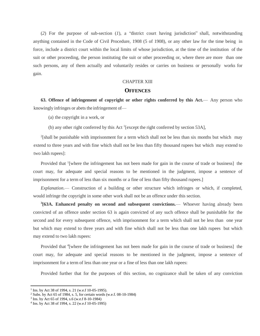(*2*) For the purpose of sub-section (*1*), a "district court having jurisdiction" shall, notwithstanding anything contained in the Code of Civil Procedure, 1908 (5 of 1908), or any other law for the time being in force, include a district court within the local limits of whose jurisdiction, at the time of the institution of the suit or other proceeding, the person instituting the suit or other proceeding or, where there are more than one such persons, any of them actually and voluntarily resides or carries on business or personally works for gain.

## CHAPTER XIII

## **OFFENCES**

**63. Offence of infringement of copyright or other rights conferred by this Act.**— Any person who knowingly infringes or abets the infringement of—

(a) the copyright in a work, or

(b) any other right conferred by this Act  ${}^{1}$ [except the right conferred by section 53A],

 $2$ [shall be punishable with imprisonment for a term which shall not be less than six months but which may extend to three years and with fine which shall not be less than fifty thousand rupees but which may extend to two lakh rupees]:

Provided that <sup>1</sup>[where the infringement has not been made for gain in the course of trade or business] the court may, for adequate and special reasons to be mentioned in the judgment, impose a sentence of imprisonment for a term of less than six months or a fine of less than fifty thousand rupees.]

*Explanation*.— Construction of a building or other structure which infringes or which, if completed, would infringe the copyright in some other work shall not be an offence under this section.

**3 [63A. Enhanced penalty on second and subsequent convictions.**— Whoever having already been convicted of an offence under section 63 is again convicted of any such offence shall be punishable for the second and for every subsequent offence, with imprisonment for a term which shall not be less than one year but which may extend to three years and with fine which shall not be less than one lakh rupees but which may extend to two lakh rupees:

Provided that <sup>4</sup>[where the infringement has not been made for gain in the course of trade or business] the court may, for adequate and special reasons to be mentioned in the judgment, impose a sentence of imprisonment for a term of less than one year or a fine of less than one lakh rupees:

Provided further that for the purposes of this section, no cognizance shall be taken of any conviction

<sup>&</sup>lt;sup>1</sup> Ins. by Act 38 of 1994, s. 21 (w.e.f 10-05-1995).

<sup>2</sup> Subs. by Act 65 of 1984, s. 5, for certain words (w.e.f. 08-10-1984)

<sup>3</sup> Ins. by Act 65 of 1994, s.6 (w.e.f 8-10-1984)

<sup>4</sup> Ins. by Act 38 of 1994, s. 22 (w.e.f 10-05-1995)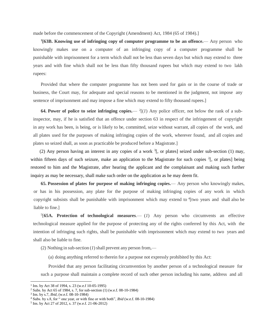made before the commencement of the Copyright (Amendment) Act, 1984 (65 of 1984).]

**1 [63B. Knowing use of infringing copy of computer programme to be an offence.**— Any person who knowingly makes use on a computer of an infringing copy of a computer programme shall be punishable with imprisonment for a term which shall not be less than seven days but which may extend to three years and with fine which shall not be less than fifty thousand rupees but which may extend to two lakh rupees:

Provided that where the computer programme has not been used for gain or in the course of trade or business, the Court may, for adequate and special reasons to be mentioned in the judgment, not impose any sentence of imprisonment and may impose a fine which may extend to fifty thousand rupees.]

**64.** Power of police to seize infringing copies.  $\frac{2}{I}(1)$  Any police officer, not below the rank of a subinspector, may, if he is satisfied that an offence under section 63 in respect of the infringement of copyright in any work has been, is being, or is likely to be, committed, seize without warrant, all copies of the work, and all plates used for the purposes of making infringing copies of the work, wherever found, and all copies and plates so seized shall, as soon as practicable be produced before a Magistrate.]

(2) Any person having an interest in any copies of a work  ${}^{3}$ [, or plates] seized under sub-section (1) may, within fifteen days of such seizure, make an application to the Magistrate for such copies  $2$ [, or plates] being restored to him and the Magistrate, after hearing the applicant and the complainant and making such further inquiry as may be necessary, shall make such order on the application as he may deem fit.

**65. Possession of plates for purpose of making infringing copies.**— Any person who knowingly makes, or has in his possession, any plate for the purpose of making infringing copies of any work in which copyright subsists shall be punishable with imprisonment which may extend to <sup>4</sup>[two years and shall also be liable to fine.]

5 [**65A. Protection of technological measures**.— (*1*) Any person who circumvents an effective technological measure applied for the purpose of protecting any of the rights conferred by this Act, with the intention of infringing such rights, shall be punishable with imprisonment which may extend to two years and shall also be liable to fine.

(2) Nothing in sub-section  $(I)$  shall prevent any person from,—

(a) doing anything referred to therein for a purpose not expressly prohibited by this Act:

Provided that any person facilitating circumvention by another person of a technological measure for such a purpose shall maintain a complete record of such other person including his name, address and all

<sup>&</sup>lt;sup>1</sup> Ins. by Act 38 of 1994, s. 23 (w.e.f 10-05-1995)

<sup>2</sup> Subs. by Act 65 of 1984, s. 7, for sub-section (1) (w.e.f. 08-10-1984)

<sup>3</sup> Ins. by s.7, *Ibid,* (w.e.f. 08-10-1984)

<sup>4</sup> Subs. by s.8, for " one year, or with fine or with both", *Ibid* (w.e.f. 08-10-1984)

<sup>5</sup> Ins. by Act 27 of 2012, s. 37 (w.e.f. 21-06-2012)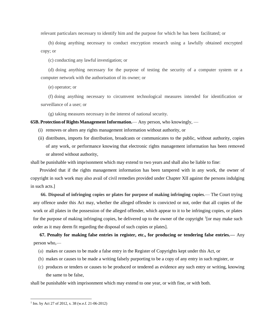relevant particulars necessary to identify him and the purpose for which he has been facilitated; or

(b) doing anything necessary to conduct encryption research using a lawfully obtained encrypted copy; or

(c) conducting any lawful investigation; or

(d) doing anything necessary for the purpose of testing the security of a computer system or a computer network with the authorisation of its owner; or

(e) operator; or

(f) doing anything necessary to circumvent technological measures intended for identification or surveillance of a user; or

(g) taking measures necessary in the interest of national security.

#### **65B. Protection of Rights Management Information.**— Any person, who knowingly, —

- (i) removes or alters any rights management information without authority, or
- (ii) distributes, imports for distribution, broadcasts or communicates to the public, without authority, copies of any work, or performance knowing that electronic rights management information has been removed or altered without authority,

shall be punishable with imprisonment which may extend to two years and shall also be liable to fine:

Provided that if the rights management information has been tampered with in any work, the owner of copyright in such work may also avail of civil remedies provided under Chapter XII against the persons indulging in such acts.]

**66. Disposal of infringing copies or plates for purpose of making infringing copies**.— The Court trying any offence under this Act may, whether the alleged offender is convicted or not, order that all copies of the work or all plates in the possession of the alleged offender, which appear to it to be infringing copies, or plates for the purpose of making infringing copies, be delivered up to the owner of the copyright <sup>1</sup>[or may make such order as it may deem fit regarding the disposal of such copies or plates].

**67. Penalty for making false entries in register, etc., for producing or tendering false entries.—** Any person who,—

- (a) makes or causes to be made a false entry in the Register of Copyrights kept under this Act, or
- (b) makes or causes to be made a writing falsely purporting to be a copy of any entry in such register, or
- (c) produces or tenders or causes to be produced or tendered as evidence any such entry or writing, knowing the same to be false,

shall be punishable with imprisonment which may extend to one year, or with fine, or with both.

<sup>1</sup> Ins. by Act 27 of 2012, s. 38 (w.e.f. 21-06-2012)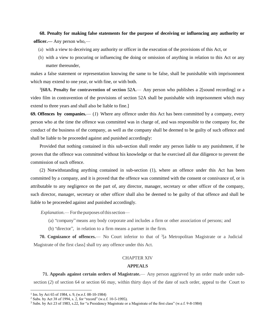**68. Penalty for making false statements for the purpose of deceiving or influencing any authority or officer.—** Any person who,—

- (a) with a view to deceiving any authority or officer in the execution of the provisions of this Act, or
- (b) with a view to procuring or influencing the doing or omission of anything in relation to this Act or any matter thereunder,

makes a false statement or representation knowing the same to be false, shall be punishable with imprisonment which may extend to one year, or with fine, or with both.

**1 [68A. Penalty for contravention of section 52A.**— Any person who publishes a 2[sound recording] or a video film in contravention of the provisions of section 52A shall be punishable with imprisonment which may extend to three years and shall also be liable to fine.]

**69. Offences by companies.**— (*1*) Where any offence under this Act has been committed by a company, every person who at the time the offence was committed was in charge of, and was responsible to the company for, the conduct of the business of the company, as well as the company shall be deemed to be guilty of such offence and shall be liable to be proceeded against and punished accordingly:

Provided that nothing contained in this sub-section shall render any person liable to any punishment, if he proves that the offence was committed without his knowledge or that he exercised all due diligence to prevent the commission of such offence.

(2) Notwithstanding anything contained in sub-section (1), where an offence under this Act has been committed by a company, and it is proved that the offence was committed with the consent or connivance of, or is attributable to any negligence on the part of, any director, manager, secretary or other officer of the company, such director, manager, secretary or other officer shall also be deemed to be guilty of that offence and shall be liable to be proceeded against and punished accordingly.

*Explanation*.—For the purposes of this section—

- (a) "company"means any body corporate and includes a firm or other association of persons; and
- (b) "director", in relation to a firm means a partner in the firm.

**70. Cognizance of offences.**— No Court inferior to that of <sup>3</sup> [a Metropolitan Magistrate or a Judicial Magistrate of the first class] shall try any offence under this Act.

## CHAPTER XIV

## **APPEALS**

**71. Appeals against certain orders of Magistrate.**— Any person aggrieved by an order made under subsection (*2*) of section 64 or section 66 may, within thirty days of the date of such order, appeal to the Court to

<sup>&</sup>lt;sup>1</sup> Ins. by Act 65 of 1984, s. 9, (w.e.f. 08-10-1984)

<sup>2</sup> Subs. by Act 38 of 1994, s. 2, for "record" (w.e.f. 10-5-1995).

<sup>3</sup> Subs. by Act 23 of 1983, s.22, for "a Presidency Magistrate or a Magistrate of the first class" (w.e.f. 9-8-1984)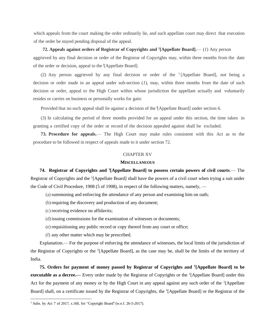which appeals from the court making the order ordinarily lie, and such appellate court may direct that execution of the order be stayed pending disposal of the appeal.

**72. Appeals against orders of Registrar of Copyrights and <sup>1</sup> [Appellate Board].**— (*1*) Any person aggrieved by any final decision or order of the Registrar of Copyrights may, within three months from the date of the order or decision, appeal to the <sup>1</sup>[Appellate Board].

(2) Any person aggrieved by any final decision or order of the <sup>1</sup> [Appellate Board], not being a decision or order made in an appeal under sub-section (*1*), may, within three months from the date of such decision or order, appeal to the High Court within whose jurisdiction the appellant actually and voluntarily resides or carries on business or personally works for gain:

Provided that no such appeal shall lie against a decision of the [Appellate Board] under section 6.

(3) In calculating the period of three months provided for an appeal under this section, the time taken in granting a certified copy of the order or record of the decision appealed against shall be excluded.

**73. Procedure for appeals.**— The High Court may make rules consistent with this Act as to the procedure to be followed in respect of appeals made to it under section 72.

## CHAPTER XV

#### **MISCELLANEOUS**

**74. Registrar of Copyrights and <sup>1</sup> [Appellate Board] to possess certain powers of civil courts**.— The Registrar of Copyrights and the <sup>1</sup>[Appellate Board] shall have the powers of a civil court when trying a suit under the Code of Civil Procedure, 1908 (5 of 1908), in respect of the following matters, namely, —

(a) summoning and enforcing the attendance of any person and examining him on oath;

- (b) requiring the discovery and production of any document;
- (c) receiving evidence on affidavits;
- (d)issuing commissions for the examination of witnesses or documents;
- (e) requisitioning any public record or copy thereof from any court or office;
- (f) any other matter which may be prescribed.

Explanation.— For the purpose of enforcing the attendance of witnesses, the local limits of the jurisdiction of the Registrar of Copyrights or the <sup>1</sup>[Appellate Board], as the case may be, shall be the limits of the territory of India.

**75. Orders for payment of money passed by Registrar of Copyrights and <sup>1</sup> [Appellate Board] to be**  executable as a decree.— Every order made by the Registrar of Copyrights or the <sup>1</sup>[Appellate Board] under this Act for the payment of any money or by the High Court in any appeal against any such order of the <sup>1</sup>[Appellate Board] shall, on a certificate issued by the Registrar of Copyrights, the <sup>1</sup>[Appellate Board] or the Registrar of the

<sup>&</sup>lt;sup>1</sup> Subs. by Act 7 of 2017, s.160, for "Copyright Board" (w.e.f. 26-5-2017).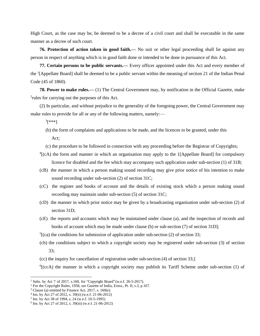High Court, as the case may be, be deemed to be a decree of a civil court and shall be executable in the same manner as a decree of such court.

**76. Protection of action taken in good faith.—** No suit or other legal proceeding shall lie against any person in respect of anything which is in good faith done or intended to be done in pursuance of this Act.

**77. Certain persons to be public servants.—** Every officer appointed under this Act and every member of the <sup>1</sup>[Appellate Board] shall be deemed to be a public servant within the meaning of section 21 of the Indian Penal Code (45 of 1860).

**78. Power to make rules.—** (1) The Central Government may, by notification in the Official Gazette, make 2 rules for carrying out the purposes of this Act.

(2) In particular, and without prejudice to the generality of the foregoing power, the Central Government may make rules to provide for all or any of the following matters, namely:—

3 [\*\*\*]

- (b) the form of complaints and applications to be made, and the licences to be granted, under this Act;
- (c) the procedure to be followed in connection with any proceeding before the Registrar of Copyrights;
- ${}^{4}$ [(cA) the form and manner in which an organisation may apply to the 1[Appellate Board] for compulsory licence for disabled and the fee which may accompany such application under sub-section (1) of 31B;
- (cB) the manner in which a person making sound recording may give prior notice of his intention to make sound recording under sub-section (2) of section 31C;
- (cC) the register and books of account and the details of existing stock which a person making sound recording may maintain under sub-section (5) of section 31C;
- (cD) the manner in which prior notice may be given by a broadcasting organisation under sub-section (2) of section 31D;
- (cE) the reports and accounts which may be maintained under clause (a), and the inspection of records and books of account which may be made under clause (b) or sub-section (7) of section 31D];
- ${}^5$ [(ca) the conditions for submission of application under sub-section (2) of section 33;
- (cb) the conditions subject to which a copyright society may be registered under sub-section (3) of section 33;
- (cc) the inquiry for cancellation of registration under sub-section (4) of section 33;]
- <sup>6</sup>[(ccA) the manner in which a copyright society may publish its Tariff Scheme under sub-section (1) of

<sup>&</sup>lt;sup>1</sup> Subs. by Act 7 of 2017, s.160, for "Copyright Board" (w.e.f. 26-5-2017).

<sup>2</sup> For the Copyright Rules, 1958, *see* Gazette of India, Extra., Pt. II, s.3, p.167.

 $3$  Clause (a) omitted by Finance Act, 2017, s. 160(e).

<sup>4</sup> Ins. by Act 27 of 2012, s. 39(ii) (w.e.f. 21-06-2012)

<sup>5</sup> Ins. by Act 38 of 1994, s. 24 (w.e.f. 10-5-1995)

<sup>6</sup> Ins. by Act 27 of 2012, s. 39(iii) (w.e.f. 21-06-2012)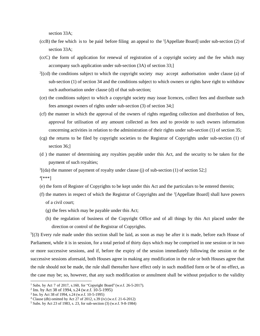section 33A;

- (ccB) the fee which is to be paid before filing an appeal to the <sup>1</sup> [Appellate Board] under sub-section (2) of section 33A;
- (ccC) the form of application for renewal of registration of a copyright society and the fee which may accompany such application under sub-section (3A) of section 33;]
- $2[{\rm (cd)}]$  the conditions subject to which the copyright society may accept authorisation under clause (a) of sub-section (1) of section 34 and the conditions subject to which owners or rights have right to withdraw such authorisation under clause (d) of that sub-section;
- (ce) the conditions subject to which a copyright society may issue licences, collect fees and distribute such fees amongst owners of rights under sub-section (3) of section 34;]
- (cf) the manner in which the approval of the owners of rights regarding collection and distribution of fees, approval for utilisation of any amount collected as fees and to provide to such owners information concerning activities in relation to the administration of their rights under sub-section (1) of section 35;
- (cg) the returns to be filed by copyright societies to the Registrar of Copyrights under sub-section (1) of section 36;]
- (d ) the manner of determining any royalties payable under this Act, and the security to be taken for the payment of such royalties;
- $3$ [(da) the manner of payment of royalty under clause (j) of sub-section (1) of section 52;]

4 [\*\*\*]

l

- (e) the form of Register of Copyrights to be kept under this Act and the particulars to be entered therein;
- (f) the matters in respect of which the Registrar of Copyrights and the  ${}^{1}$ [Appellate Board] shall have powers of a civil court;
	- (g) the fees which may be payable under this Act;
	- (h) the regulation of business of the Copyright Office and of all things by this Act placed under the direction or control of the Registrar of Copyrights.

 $5(3)$  Every rule made under this section shall be laid, as soon as may be after it is made, before each House of Parliament, while it is in session, for a total period of thirty days which may be comprised in one session or in two or more successive sessions, and if, before the expiry of the session immediately following the session or the successive sessions aforesaid, both Houses agree in making any modification in the rule or both Houses agree that the rule should not be made, the rule shall thereafter have effect only in such modified form or be of no effect, as the case may be; so, however, that any such modification or annulment shall be without prejudice to the validity

<sup>&</sup>lt;sup>1</sup> Subs. by Act 7 of 2017, s.160, for "Copyright Board" (w.e.f. 26-5-2017).

 $2$  Ins. by Act 38 of 1994, s.24 (w.e.f. 10-5-1995)

<sup>3</sup> Ins. by Act 38 of 1994, s.24 (w.e.f. 10-5-1995)

<sup>4</sup> Clause (db) omitted by Act 27 of 2012, s.39 (iv) (w.e.f. 21-6-2012)

<sup>5</sup> Subs. by Act 23 of 1983, s. 23, for sub-section (3) (w.e.f. 9-8-1984)